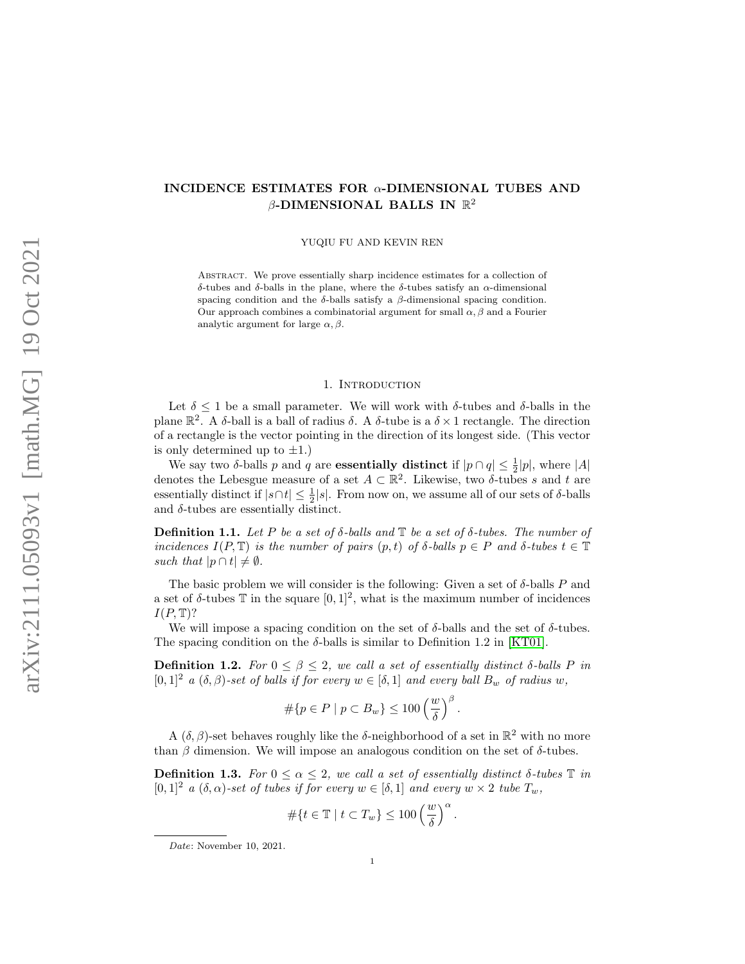# INCIDENCE ESTIMATES FOR  $\alpha$ -DIMENSIONAL TUBES AND  $\beta$ -DIMENSIONAL BALLS IN  $\mathbb{R}^2$

YUQIU FU AND KEVIN REN

Abstract. We prove essentially sharp incidence estimates for a collection of δ-tubes and δ-balls in the plane, where the δ-tubes satisfy an α-dimensional spacing condition and the  $\delta$ -balls satisfy a  $\beta$ -dimensional spacing condition. Our approach combines a combinatorial argument for small  $\alpha$ ,  $\beta$  and a Fourier analytic argument for large  $\alpha$ ,  $\beta$ .

#### 1. Introduction

Let  $\delta \leq 1$  be a small parameter. We will work with  $\delta$ -tubes and  $\delta$ -balls in the plane  $\mathbb{R}^2$ . A δ-ball is a ball of radius δ. A δ-tube is a  $\delta \times 1$  rectangle. The direction of a rectangle is the vector pointing in the direction of its longest side. (This vector is only determined up to  $\pm 1$ .

We say two  $\delta$ -balls p and q are **essentially distinct** if  $|p \cap q| \leq \frac{1}{2}|p|$ , where |A| denotes the Lebesgue measure of a set  $A \subset \mathbb{R}^2$ . Likewise, two  $\delta$ -tubes s and t are essentially distinct if  $|s \cap t| \leq \frac{1}{2}|s|$ . From now on, we assume all of our sets of  $\delta$ -balls and  $\delta$ -tubes are essentially distinct.

Definition 1.1. Let P be a set of  $\delta$ -balls and  $\mathbb T$  be a set of  $\delta$ -tubes. The number of incidences  $I(P, \mathbb{T})$  is the number of pairs  $(p, t)$  of  $\delta$ -balls  $p \in P$  and  $\delta$ -tubes  $t \in \mathbb{T}$ such that  $|p \cap t| \neq \emptyset$ .

The basic problem we will consider is the following: Given a set of  $\delta$ -balls P and a set of  $\delta$ -tubes  $\mathbb T$  in the square  $[0,1]^2$ , what is the maximum number of incidences  $I(P, \mathbb{T})$ ?

We will impose a spacing condition on the set of  $\delta$ -balls and the set of  $\delta$ -tubes. The spacing condition on the  $\delta$ -balls is similar to Definition 1.2 in [\[KT01\]](#page-17-0).

**Definition 1.2.** For  $0 \leq \beta \leq 2$ , we call a set of essentially distinct  $\delta$ -balls P in  $[0,1]^2$  a  $(\delta, \beta)$ -set of balls if for every  $w \in [\delta,1]$  and every ball  $B_w$  of radius w,

$$
\#\{p \in P \mid p \subset B_w\} \le 100 \left(\frac{w}{\delta}\right)^{\beta}
$$

.

A  $(\delta, \beta)$ -set behaves roughly like the  $\delta$ -neighborhood of a set in  $\mathbb{R}^2$  with no more than  $\beta$  dimension. We will impose an analogous condition on the set of  $\delta$ -tubes.

Definition 1.3. For  $0 \leq \alpha \leq 2$ , we call a set of essentially distinct  $\delta$ -tubes  $\mathbb T$  in  $[0,1]^2$  a  $(\delta,\alpha)$ -set of tubes if for every  $w \in [\delta,1]$  and every  $w \times 2$  tube  $T_w$ ,

$$
\#\{t\in\mathbb{T}\mid t\subset T_w\}\leq 100\left(\frac{w}{\delta}\right)^{\alpha}.
$$

Date: November 10, 2021.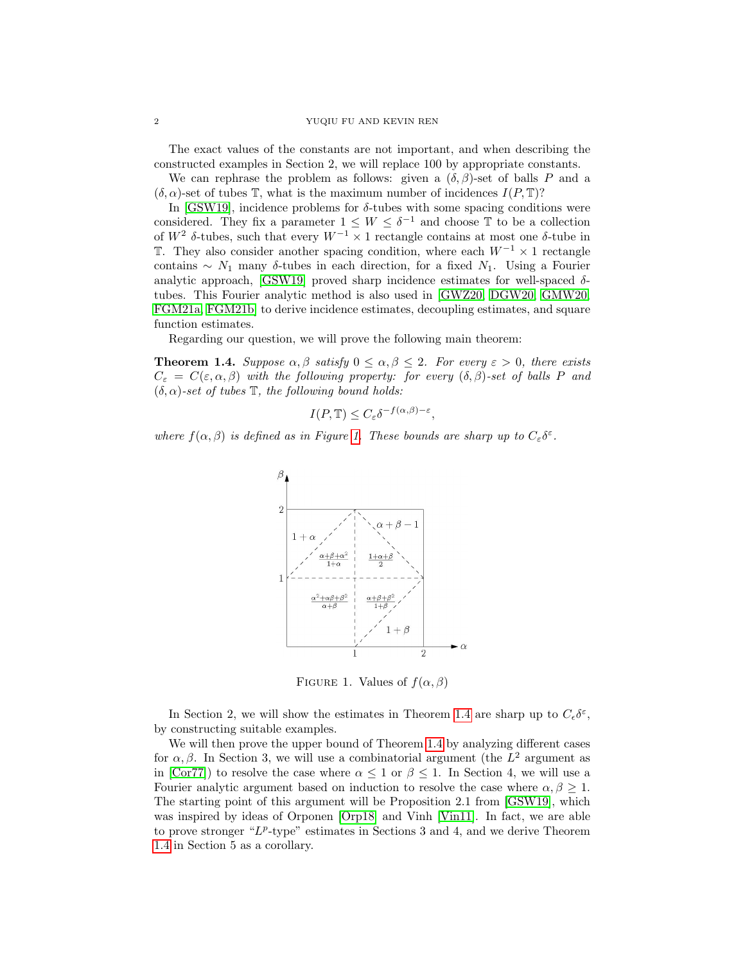### 2 YUQIU FU AND KEVIN REN

The exact values of the constants are not important, and when describing the constructed examples in Section 2, we will replace 100 by appropriate constants.

We can rephrase the problem as follows: given a  $(\delta, \beta)$ -set of balls P and a  $(\delta, \alpha)$ -set of tubes T, what is the maximum number of incidences  $I(P, T)$ ?

In [\[GSW19\]](#page-17-1), incidence problems for  $\delta$ -tubes with some spacing conditions were considered. They fix a parameter  $1 \leq W \leq \delta^{-1}$  and choose  $\mathbb T$  to be a collection of  $W^2$  δ-tubes, such that every  $W^{-1} \times 1$  rectangle contains at most one δ-tube in T. They also consider another spacing condition, where each  $W^{-1} \times 1$  rectangle contains  $\sim N_1$  many δ-tubes in each direction, for a fixed  $N_1$ . Using a Fourier analytic approach, [\[GSW19\]](#page-17-1) proved sharp incidence estimates for well-spaced  $\delta$ tubes. This Fourier analytic method is also used in [\[GWZ20,](#page-17-2) [DGW20,](#page-17-3) [GMW20,](#page-17-4) [FGM21a,](#page-17-5) [FGM21b\]](#page-17-6) to derive incidence estimates, decoupling estimates, and square function estimates.

Regarding our question, we will prove the following main theorem:

<span id="page-1-1"></span>**Theorem 1.4.** Suppose  $\alpha, \beta$  satisfy  $0 \leq \alpha, \beta \leq 2$ . For every  $\varepsilon > 0$ , there exists  $C_{\varepsilon} = C(\varepsilon, \alpha, \beta)$  with the following property: for every  $(\delta, \beta)$ -set of balls P and  $(\delta, \alpha)$ -set of tubes  $\mathbb{T}$ , the following bound holds:

$$
I(P, \mathbb{T}) \le C_{\varepsilon} \delta^{-f(\alpha, \beta) - \varepsilon},
$$

where  $f(\alpha, \beta)$  is defined as in Figure [1.](#page-1-0) These bounds are sharp up to  $C_{\varepsilon} \delta^{\varepsilon}$ .



<span id="page-1-0"></span>FIGURE 1. Values of  $f(\alpha, \beta)$ 

In Section 2, we will show the estimates in Theorem [1.4](#page-1-1) are sharp up to  $C_{\epsilon} \delta^{\epsilon}$ , by constructing suitable examples.

We will then prove the upper bound of Theorem [1.4](#page-1-1) by analyzing different cases for  $\alpha, \beta$ . In Section 3, we will use a combinatorial argument (the  $L^2$  argument as in [\[Cor77\]](#page-17-7)) to resolve the case where  $\alpha \leq 1$  or  $\beta \leq 1$ . In Section 4, we will use a Fourier analytic argument based on induction to resolve the case where  $\alpha, \beta \geq 1$ . The starting point of this argument will be Proposition 2.1 from [\[GSW19\]](#page-17-1), which was inspired by ideas of Orponen [\[Orp18\]](#page-17-8) and Vinh [\[Vin11\]](#page-17-9). In fact, we are able to prove stronger " $L^p$ -type" estimates in Sections 3 and 4, and we derive Theorem [1.4](#page-1-1) in Section 5 as a corollary.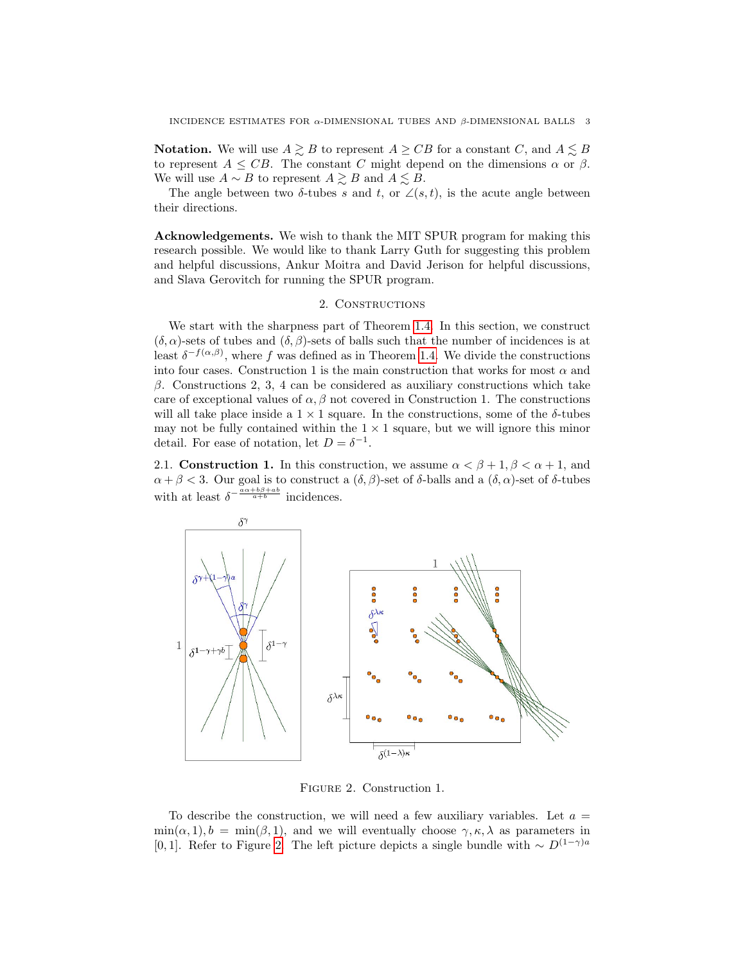**Notation.** We will use  $A \geq B$  to represent  $A \geq CB$  for a constant C, and  $A \leq B$ to represent  $A \leq CB$ . The constant C might depend on the dimensions  $\alpha$  or  $\beta$ . We will use  $A \sim B$  to represent  $A \gtrsim B$  and  $A \lesssim B$ .

The angle between two  $\delta$ -tubes s and t, or  $\angle(s,t)$ , is the acute angle between their directions.

Acknowledgements. We wish to thank the MIT SPUR program for making this research possible. We would like to thank Larry Guth for suggesting this problem and helpful discussions, Ankur Moitra and David Jerison for helpful discussions, and Slava Gerovitch for running the SPUR program.

# 2. CONSTRUCTIONS

We start with the sharpness part of Theorem [1.4.](#page-1-1) In this section, we construct  $(\delta, \alpha)$ -sets of tubes and  $(\delta, \beta)$ -sets of balls such that the number of incidences is at least  $\delta^{-f(\alpha,\beta)}$ , where f was defined as in Theorem [1.4.](#page-1-1) We divide the constructions into four cases. Construction 1 is the main construction that works for most  $\alpha$  and β. Constructions 2, 3, 4 can be considered as auxiliary constructions which take care of exceptional values of  $\alpha$ ,  $\beta$  not covered in Construction 1. The constructions will all take place inside a  $1 \times 1$  square. In the constructions, some of the  $\delta$ -tubes may not be fully contained within the  $1 \times 1$  square, but we will ignore this minor detail. For ease of notation, let  $D = \delta^{-1}$ .

2.1. Construction 1. In this construction, we assume  $\alpha < \beta + 1, \beta < \alpha + 1$ , and  $\alpha + \beta < 3$ . Our goal is to construct a  $(\delta, \beta)$ -set of  $\delta$ -balls and a  $(\delta, \alpha)$ -set of  $\delta$ -tubes with at least  $\delta^{-\frac{a\alpha+b\beta+a b}{a+b}}$  incidences.



<span id="page-2-0"></span>Figure 2. Construction 1.

To describe the construction, we will need a few auxiliary variables. Let  $a =$  $\min(\alpha, 1), b = \min(\beta, 1)$ , and we will eventually choose  $\gamma, \kappa, \lambda$  as parameters in [0, 1]. Refer to Figure [2.](#page-2-0) The left picture depicts a single bundle with  $\sim D^{(1-\gamma)a}$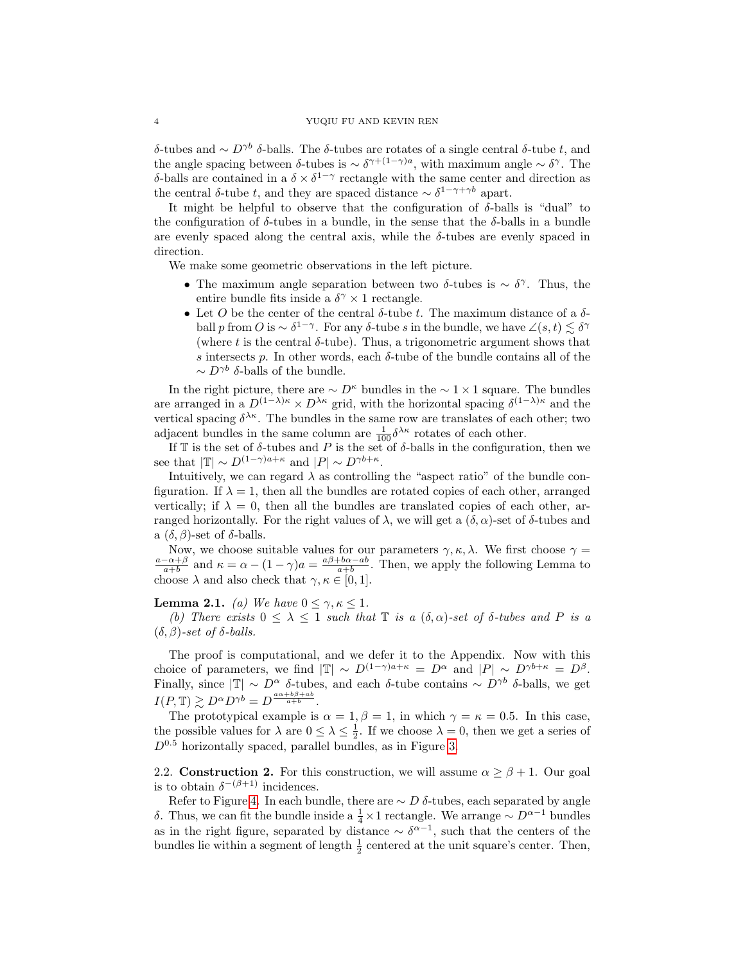δ-tubes and  $\sim D^{\gamma b}$  δ-balls. The δ-tubes are rotates of a single central δ-tube t, and the angle spacing between δ-tubes is  $\sim \delta^{\gamma+(1-\gamma)a}$ , with maximum angle  $\sim \delta^{\gamma}$ . The δ-balls are contained in a  $\delta \times \delta^{1-\gamma}$  rectangle with the same center and direction as the central δ-tube t, and they are spaced distance  $\sim \delta^{1-\gamma+\gamma b}$  apart.

It might be helpful to observe that the configuration of  $\delta$ -balls is "dual" to the configuration of  $\delta$ -tubes in a bundle, in the sense that the  $\delta$ -balls in a bundle are evenly spaced along the central axis, while the  $\delta$ -tubes are evenly spaced in direction.

We make some geometric observations in the left picture.

- The maximum angle separation between two  $\delta$ -tubes is ~  $\delta^{\gamma}$ . Thus, the entire bundle fits inside a  $\delta^{\gamma} \times 1$  rectangle.
- Let O be the center of the central  $\delta$ -tube t. The maximum distance of a  $\delta$ ball p from O is  $\sim \delta^{1-\gamma}$ . For any δ-tube s in the bundle, we have  $\angle (s,t) \lesssim \delta^{\gamma}$ (where t is the central  $\delta$ -tube). Thus, a trigonometric argument shows that s intersects p. In other words, each  $\delta$ -tube of the bundle contains all of the  $\sim D^{\gamma b}$  δ-balls of the bundle.

In the right picture, there are  $\sim D^{\kappa}$  bundles in the  $\sim 1 \times 1$  square. The bundles are arranged in a  $D^{(1-\lambda)\kappa} \times D^{\lambda\kappa}$  grid, with the horizontal spacing  $\delta^{(1-\lambda)\kappa}$  and the vertical spacing  $\delta^{\lambda\kappa}$ . The bundles in the same row are translates of each other; two adjacent bundles in the same column are  $\frac{1}{100} \delta^{\lambda \kappa}$  rotates of each other.

If  $\mathbb T$  is the set of  $\delta$ -tubes and  $P$  is the set of  $\delta$ -balls in the configuration, then we see that  $|\mathbb{T}| \sim D^{(1-\gamma)a+\kappa}$  and  $|P| \sim D^{\gamma b+\kappa}$ .

Intuitively, we can regard  $\lambda$  as controlling the "aspect ratio" of the bundle configuration. If  $\lambda = 1$ , then all the bundles are rotated copies of each other, arranged vertically; if  $\lambda = 0$ , then all the bundles are translated copies of each other, arranged horizontally. For the right values of  $\lambda$ , we will get a  $(\delta, \alpha)$ -set of  $\delta$ -tubes and a  $(\delta, \beta)$ -set of  $\delta$ -balls.

Now, we choose suitable values for our parameters  $\gamma, \kappa, \lambda$ . We first choose  $\gamma =$  $\frac{a-\alpha+\beta}{a+b}$  and  $\kappa = \alpha - (1-\gamma)a = \frac{a\beta+b\alpha-ab}{a+b}$ . Then, we apply the following Lemma to choose  $\lambda$  and also check that  $\gamma, \kappa \in [0, 1]$ .

### <span id="page-3-0"></span>**Lemma 2.1.** (a) We have  $0 \leq \gamma, \kappa \leq 1$ .

(b) There exists  $0 \leq \lambda \leq 1$  such that  $\mathbb T$  is a  $(\delta, \alpha)$ -set of  $\delta$ -tubes and P is a  $(\delta, \beta)$ -set of  $\delta$ -balls.

The proof is computational, and we defer it to the Appendix. Now with this choice of parameters, we find  $|\mathbb{T}| \sim D^{(1-\gamma)a+\kappa} = D^{\alpha}$  and  $|P| \sim D^{\gamma b+\kappa} = D^{\beta}$ . Finally, since  $|\mathbb{T}| \sim D^{\alpha} \delta$ -tubes, and each δ-tube contains ~  $D^{\gamma b} \delta$ -balls, we get  $I(P, \mathbb{T}) \gtrsim D^{\alpha} D^{\gamma b} = D^{\frac{a\alpha+b\beta+ab}{a+b}}.$ 

The prototypical example is  $\alpha = 1, \beta = 1$ , in which  $\gamma = \kappa = 0.5$ . In this case, the possible values for  $\lambda$  are  $0 \leq \lambda \leq \frac{1}{2}$ . If we choose  $\lambda = 0$ , then we get a series of  $D^{0.5}$  horizontally spaced, parallel bundles, as in Figure [3.](#page-4-0)

2.2. Construction 2. For this construction, we will assume  $\alpha \geq \beta + 1$ . Our goal is to obtain  $\delta^{-(\beta+1)}$  incidences.

Refer to Figure [4.](#page-4-1) In each bundle, there are  $\sim D$  δ-tubes, each separated by angle δ. Thus, we can fit the bundle inside a  $\frac{1}{4} \times 1$  rectangle. We arrange  $\sim D^{\alpha-1}$  bundles as in the right figure, separated by distance  $\sim \delta^{\alpha-1}$ , such that the centers of the bundles lie within a segment of length  $\frac{1}{2}$  centered at the unit square's center. Then,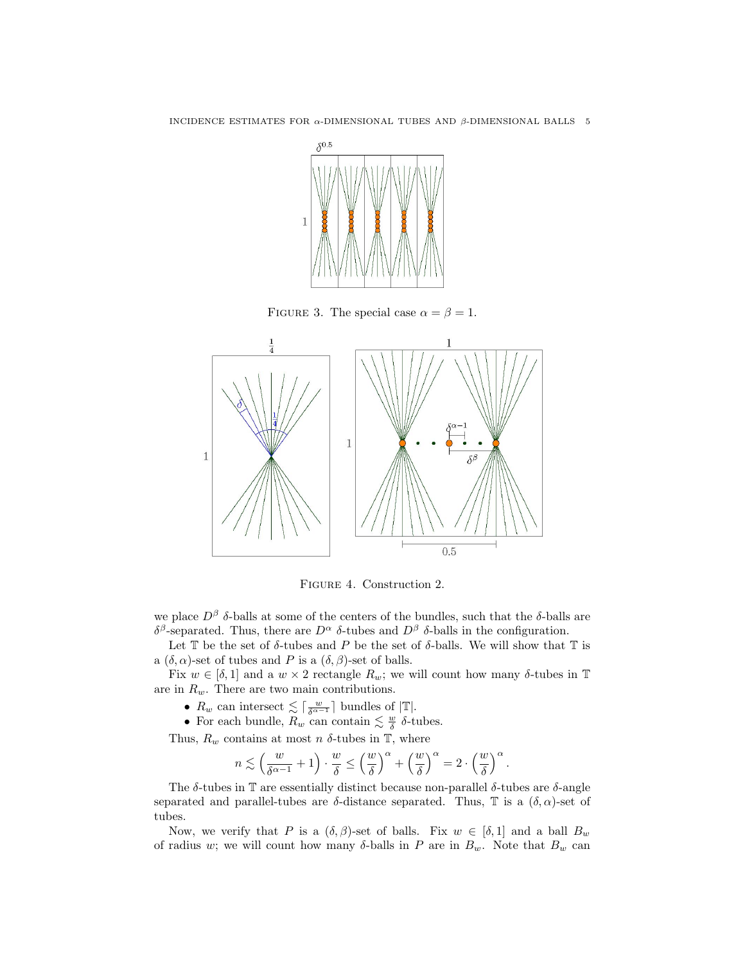

<span id="page-4-0"></span>FIGURE 3. The special case  $\alpha = \beta = 1$ .



<span id="page-4-1"></span>Figure 4. Construction 2.

we place  $D^{\beta}$  δ-balls at some of the centers of the bundles, such that the δ-balls are δ<sup>β</sup>-separated. Thus, there are  $D^{\alpha}$  δ-tubes and  $D^{\beta}$  δ-balls in the configuration.

Let  $\mathbb T$  be the set of  $\delta$ -tubes and P be the set of  $\delta$ -balls. We will show that  $\mathbb T$  is a  $(\delta, \alpha)$ -set of tubes and P is a  $(\delta, \beta)$ -set of balls.

Fix  $w \in [\delta, 1]$  and a  $w \times 2$  rectangle  $R_w$ ; we will count how many  $\delta$ -tubes in T are in  $R_w$ . There are two main contributions.

- $R_w$  can intersect  $\lesssim \lceil \frac{w}{\delta^{\alpha-1}} \rceil$  bundles of  $|\mathbb{T}|$ .
- For each bundle,  $R_w$  can contain  $\leq \frac{w}{\delta}$   $\delta$ -tubes.

Thus,  $R_w$  contains at most n  $\delta$ -tubes in T, where

$$
n\lesssim \left(\frac{w}{\delta^{\alpha-1}}+1\right)\cdot\frac{w}{\delta}\leq \left(\frac{w}{\delta}\right)^{\alpha}+\left(\frac{w}{\delta}\right)^{\alpha}=2\cdot\left(\frac{w}{\delta}\right)^{\alpha}.
$$

The  $\delta$ -tubes in T are essentially distinct because non-parallel  $\delta$ -tubes are  $\delta$ -angle separated and parallel-tubes are  $\delta$ -distance separated. Thus, T is a  $(\delta, \alpha)$ -set of tubes.

Now, we verify that P is a  $(\delta, \beta)$ -set of balls. Fix  $w \in [\delta, 1]$  and a ball  $B_w$ of radius w; we will count how many  $\delta$ -balls in P are in  $B_w$ . Note that  $B_w$  can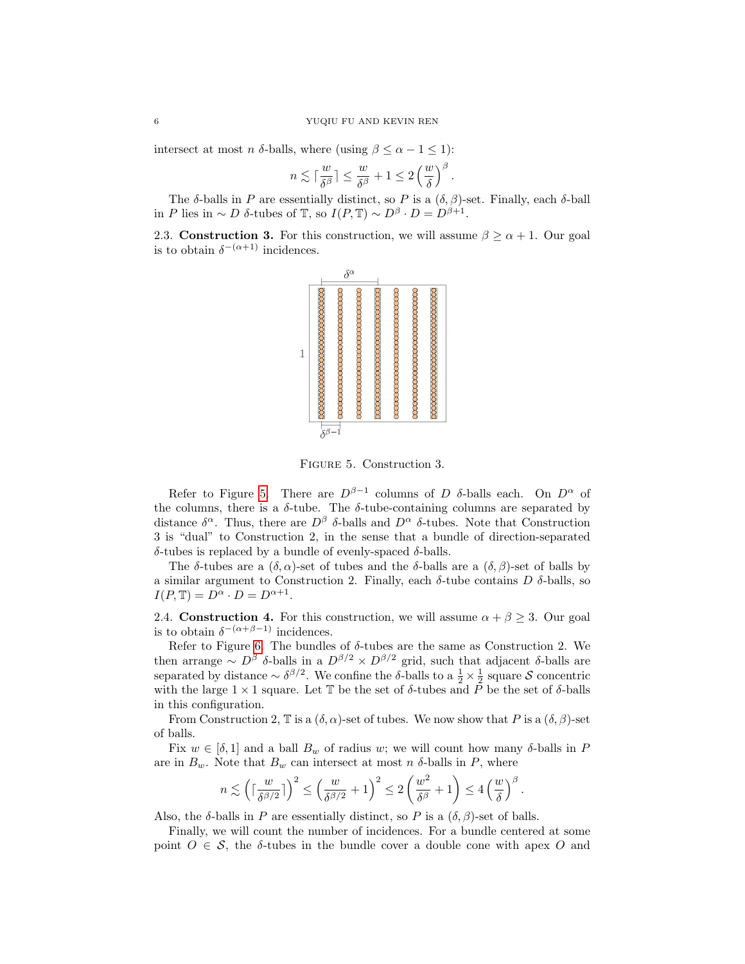intersect at most *n*  $\delta$ -balls, where (using  $\beta \leq \alpha - 1 \leq 1$ ):

$$
n \lesssim \lceil \frac{w}{\delta^{\beta}} \rceil \leq \frac{w}{\delta^{\beta}} + 1 \leq 2 \left( \frac{w}{\delta} \right)^{\beta}.
$$

The  $\delta$ -balls in P are essentially distinct, so P is a  $(\delta, \beta)$ -set. Finally, each  $\delta$ -ball in P lies in ~ D  $\delta$ -tubes of T, so  $I(P, T) \sim D^{\beta} \cdot D = D^{\beta+1}$ .

2.3. Construction 3. For this construction, we will assume  $\beta \ge \alpha + 1$ . Our goal is to obtain  $\delta^{-(\alpha+1)}$  incidences.



<span id="page-5-0"></span>Figure 5. Construction 3.

Refer to Figure [5.](#page-5-0) There are  $D^{\beta-1}$  columns of D  $\delta$ -balls each. On  $D^{\alpha}$  of the columns, there is a  $\delta$ -tube. The  $\delta$ -tube-containing columns are separated by distance  $\delta^{\alpha}$ . Thus, there are  $D^{\beta}$  δ-balls and  $D^{\alpha}$  δ-tubes. Note that Construction 3 is "dual" to Construction 2, in the sense that a bundle of direction-separated δ-tubes is replaced by a bundle of evenly-spaced δ-balls.

The δ-tubes are a  $(\delta, \alpha)$ -set of tubes and the δ-balls are a  $(\delta, \beta)$ -set of balls by a similar argument to Construction 2. Finally, each δ-tube contains D δ-balls, so  $I(P, \mathbb{T}) = D^{\alpha} \cdot D = D^{\alpha+1}.$ 

2.4. Construction 4. For this construction, we will assume  $\alpha + \beta \geq 3$ . Our goal is to obtain  $\delta^{-(\alpha+\beta-1)}$  incidences.

Refer to Figure [6.](#page-6-0) The bundles of  $\delta$ -tubes are the same as Construction 2. We then arrange  $\sim D^{\beta}$  δ-balls in a  $D^{\beta/2} \times D^{\beta/2}$  grid, such that adjacent δ-balls are separated by distance  $\sim \delta^{\beta/2}$ . We confine the δ-balls to a  $\frac{1}{2} \times \frac{1}{2}$  square S concentric with the large  $1 \times 1$  square. Let T be the set of  $\delta$ -tubes and  $\tilde{P}$  be the set of  $\delta$ -balls in this configuration.

From Construction 2,  $\mathbb T$  is a  $(\delta, \alpha)$ -set of tubes. We now show that P is a  $(\delta, \beta)$ -set of balls.

Fix  $w \in [\delta, 1]$  and a ball  $B_w$  of radius w; we will count how many  $\delta$ -balls in P are in  $B_w$ . Note that  $B_w$  can intersect at most n  $\delta$ -balls in P, where

$$
n \lesssim \left(\lceil \frac{w}{\delta^{\beta/2}}\rceil\right)^2 \le \left(\frac{w}{\delta^{\beta/2}}+1\right)^2 \le 2\left(\frac{w^2}{\delta^{\beta}}+1\right) \le 4\left(\frac{w}{\delta}\right)^{\beta}.
$$

Also, the  $\delta$ -balls in P are essentially distinct, so P is a  $(\delta, \beta)$ -set of balls.

Finally, we will count the number of incidences. For a bundle centered at some point  $O \in \mathcal{S}$ , the  $\delta$ -tubes in the bundle cover a double cone with apex O and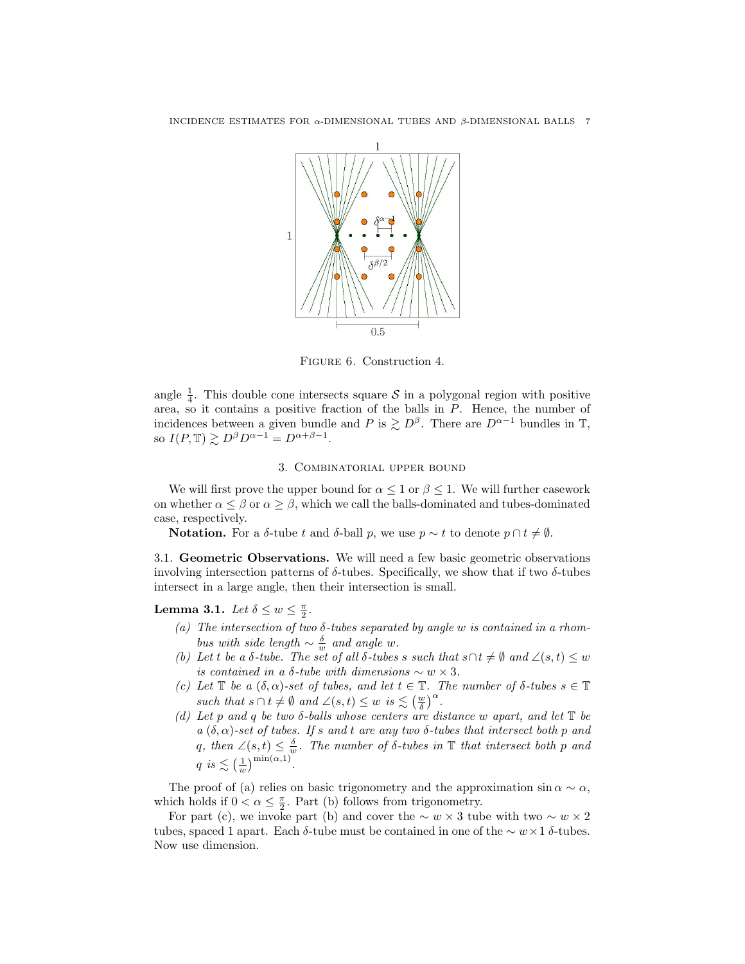

<span id="page-6-0"></span>Figure 6. Construction 4.

angle  $\frac{1}{4}$ . This double cone intersects square S in a polygonal region with positive area, so it contains a positive fraction of the balls in P. Hence, the number of incidences between a given bundle and P is  $\geq D^{\beta}$ . There are  $D^{\alpha-1}$  bundles in T, so  $I(P, \mathbb{T}) \gtrsim D^{\beta} D^{\alpha - 1} = D^{\alpha + \beta - 1}$ .

### 3. Combinatorial upper bound

We will first prove the upper bound for  $\alpha \leq 1$  or  $\beta \leq 1$ . We will further casework on whether  $\alpha \leq \beta$  or  $\alpha \geq \beta$ , which we call the balls-dominated and tubes-dominated case, respectively.

Notation. For a δ-tube t and δ-ball p, we use  $p \sim t$  to denote  $p \cap t \neq \emptyset$ .

3.1. Geometric Observations. We will need a few basic geometric observations involving intersection patterns of  $\delta$ -tubes. Specifically, we show that if two  $\delta$ -tubes intersect in a large angle, then their intersection is small.

<span id="page-6-1"></span>Lemma 3.1. Let  $\delta \leq w \leq \frac{\pi}{2}$ .

- (a) The intersection of two  $\delta$ -tubes separated by angle w is contained in a rhombus with side length  $\sim \frac{\delta}{w}$  and angle w.
- (b) Let t be a  $\delta$ -tube. The set of all  $\delta$ -tubes s such that  $s \cap t \neq \emptyset$  and  $\angle (s, t) \leq w$ is contained in a δ-tube with dimensions  $\sim w \times 3$ .
- (c) Let  $\mathbb T$  be a  $(\delta, \alpha)$ -set of tubes, and let  $t \in \mathbb T$ . The number of  $\delta$ -tubes  $s \in \mathbb T$ such that  $s \cap t \neq \emptyset$  and  $\angle(s,t) \leq w$  is  $\lesssim \left(\frac{w}{\delta}\right)^{\alpha}$ .
- (d) Let p and q be two  $\delta$ -balls whose centers are distance w apart, and let  $\mathbb T$  be  $a(\delta, \alpha)$ -set of tubes. If s and t are any two  $\delta$ -tubes that intersect both p and q, then  $\angle(s,t) \leq \frac{\delta}{w}$ . The number of  $\delta$ -tubes in  $\mathbb T$  that intersect both p and  $q$  is  $\lesssim \left(\frac{1}{w}\right)^{\min(\alpha,1)}.$

The proof of (a) relies on basic trigonometry and the approximation  $\sin \alpha \sim \alpha$ , which holds if  $0 < \alpha \leq \frac{\pi}{2}$ . Part (b) follows from trigonometry.

For part (c), we invoke part (b) and cover the  $\sim w \times 3$  tube with two  $\sim w \times 2$ tubes, spaced 1 apart. Each δ-tube must be contained in one of the  $\sim w \times 1$  δ-tubes. Now use dimension.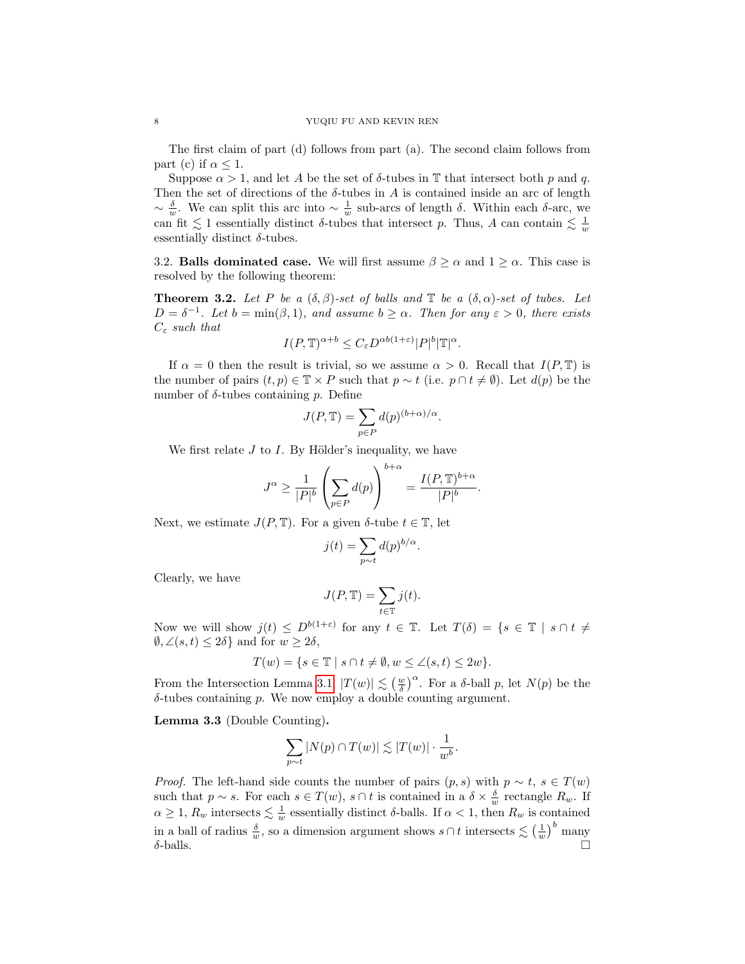The first claim of part (d) follows from part (a). The second claim follows from part (c) if  $\alpha \leq 1$ .

Suppose  $\alpha > 1$ , and let A be the set of  $\delta$ -tubes in T that intersect both p and q. Then the set of directions of the  $\delta$ -tubes in A is contained inside an arc of length  $\sim \frac{\delta}{w}$ . We can split this arc into  $\sim \frac{1}{w}$  sub-arcs of length δ. Within each δ-arc, we can fit  $\lesssim 1$  essentially distinct  $\delta$ -tubes that intersect p. Thus, A can contain  $\lesssim \frac{1}{w}$ essentially distinct  $\delta$ -tubes.

3.2. Balls dominated case. We will first assume  $\beta \ge \alpha$  and  $1 \ge \alpha$ . This case is resolved by the following theorem:

<span id="page-7-0"></span>**Theorem 3.2.** Let P be a  $(\delta, \beta)$ -set of balls and  $\mathbb{T}$  be a  $(\delta, \alpha)$ -set of tubes. Let  $D = \delta^{-1}$ . Let  $b = \min(\beta, 1)$ , and assume  $b \geq \alpha$ . Then for any  $\varepsilon > 0$ , there exists  $C_{\varepsilon}$  such that

$$
I(P,\mathbb{T})^{\alpha+b} \le C_{\varepsilon} D^{\alpha b(1+\varepsilon)} |P|^b |\mathbb{T}|^{\alpha}.
$$

If  $\alpha = 0$  then the result is trivial, so we assume  $\alpha > 0$ . Recall that  $I(P, T)$  is the number of pairs  $(t, p) \in \mathbb{T} \times P$  such that  $p \sim t$  (i.e.  $p \cap t \neq \emptyset$ ). Let  $d(p)$  be the number of  $\delta$ -tubes containing p. Define

$$
J(P, \mathbb{T}) = \sum_{p \in P} d(p)^{(b+\alpha)/\alpha}.
$$

We first relate  $J$  to  $I$ . By Hölder's inequality, we have

$$
J^{\alpha} \ge \frac{1}{|P|^b} \left( \sum_{p \in P} d(p) \right)^{b+\alpha} = \frac{I(P, \mathbb{T})^{b+\alpha}}{|P|^b}.
$$

Next, we estimate  $J(P, \mathbb{T})$ . For a given  $\delta$ -tube  $t \in \mathbb{T}$ , let

$$
j(t) = \sum_{p \sim t} d(p)^{b/\alpha}
$$

.

.

Clearly, we have

$$
J(P, \mathbb{T}) = \sum_{t \in \mathbb{T}} j(t).
$$

Now we will show  $j(t) \leq D^{b(1+\varepsilon)}$  for any  $t \in \mathbb{T}$ . Let  $T(\delta) = \{s \in \mathbb{T} \mid s \cap t \neq 0\}$  $\emptyset, \angle(s,t) \leq 2\delta$  and for  $w \geq 2\delta$ ,

$$
T(w)=\{s\in\mathbb{T}\mid s\cap t\neq\emptyset, w\leq\angle(s,t)\leq 2w\}.
$$

From the Intersection Lemma [3.1,](#page-6-1)  $|T(w)| \lesssim (\frac{w}{\delta})^{\alpha}$ . For a  $\delta$ -ball p, let  $N(p)$  be the  $\delta$ -tubes containing p. We now employ a double counting argument.

Lemma 3.3 (Double Counting).

$$
\sum_{p \sim t} |N(p) \cap T(w)| \lesssim |T(w)| \cdot \frac{1}{w^b}
$$

*Proof.* The left-hand side counts the number of pairs  $(p, s)$  with  $p \sim t$ ,  $s \in T(w)$ such that  $p \sim s$ . For each  $s \in T(w)$ ,  $s \cap t$  is contained in a  $\delta \times \frac{\delta}{w}$  rectangle  $R_w$ . If  $\alpha \geq 1$ ,  $R_w$  intersects  $\leq \frac{1}{w}$  essentially distinct  $\delta$ -balls. If  $\alpha < 1$ , then  $R_w$  is contained in a ball of radius  $\frac{\delta}{w}$ , so a dimension argument shows  $s \cap t$  intersects  $\lesssim \left(\frac{1}{w}\right)^b$  many  $\delta$ -balls.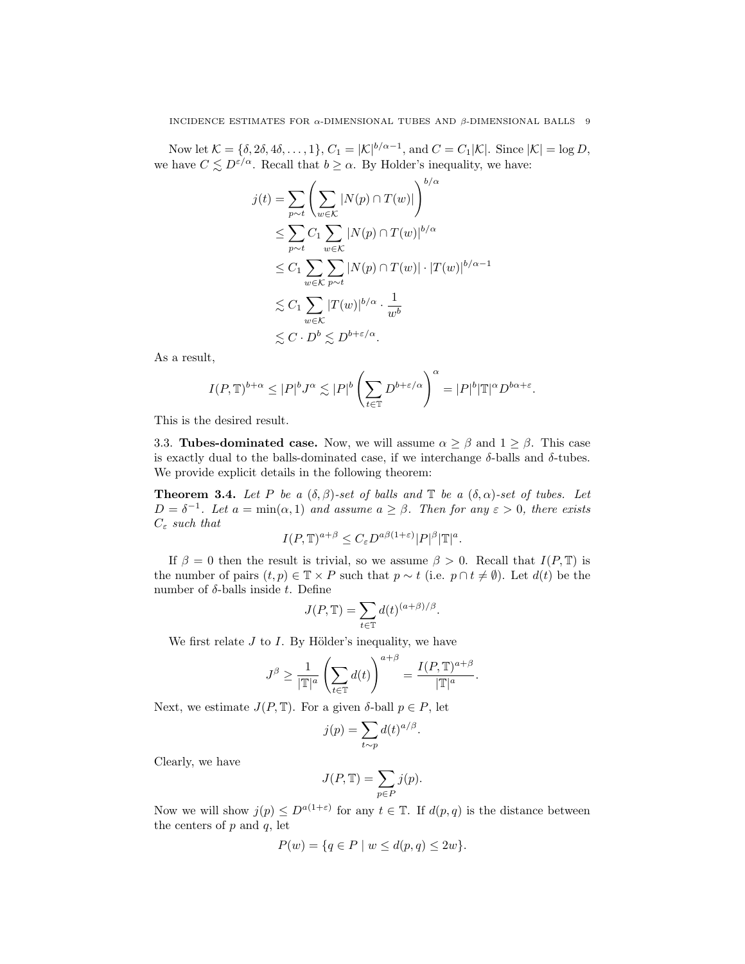Now let  $\mathcal{K} = \{\delta, 2\delta, 4\delta, \dots, 1\}, C_1 = |\mathcal{K}|^{b/\alpha - 1}$ , and  $C = C_1 |\mathcal{K}|$ . Since  $|\mathcal{K}| = \log D$ , we have  $C \leq D^{\varepsilon/\alpha}$ . Recall that  $b \geq \alpha$ . By Holder's inequality, we have:

$$
j(t) = \sum_{p \sim t} \left( \sum_{w \in K} |N(p) \cap T(w)| \right)^{b/\alpha}
$$
  
\n
$$
\leq \sum_{p \sim t} C_1 \sum_{w \in K} |N(p) \cap T(w)|^{b/\alpha}
$$
  
\n
$$
\leq C_1 \sum_{w \in K} \sum_{p \sim t} |N(p) \cap T(w)| \cdot |T(w)|^{b/\alpha - 1}
$$
  
\n
$$
\leq C_1 \sum_{w \in K} |T(w)|^{b/\alpha} \cdot \frac{1}{w^b}
$$
  
\n
$$
\leq C \cdot D^b \leq D^{b + \varepsilon/\alpha}.
$$

As a result,

$$
I(P,\mathbb{T})^{b+\alpha}\leq |P|^bJ^\alpha\lesssim |P|^b\left(\sum_{t\in\mathbb{T}}D^{b+\varepsilon/\alpha}\right)^\alpha=|P|^b|\mathbb{T}|^\alpha D^{b\alpha+\varepsilon}.
$$

This is the desired result.

3.3. **Tubes-dominated case.** Now, we will assume  $\alpha \geq \beta$  and  $1 \geq \beta$ . This case is exactly dual to the balls-dominated case, if we interchange δ-balls and δ-tubes. We provide explicit details in the following theorem:

<span id="page-8-0"></span>**Theorem 3.4.** Let P be a  $(\delta, \beta)$ -set of balls and  $\mathbb{T}$  be a  $(\delta, \alpha)$ -set of tubes. Let  $D = \delta^{-1}$ . Let  $a = \min(\alpha, 1)$  and assume  $a \geq \beta$ . Then for any  $\varepsilon > 0$ , there exists  $C_\varepsilon$  such that

$$
I(P,\mathbb{T})^{a+\beta} \leq C_{\varepsilon} D^{a\beta(1+\varepsilon)} |P|^{\beta} |\mathbb{T}|^{a}.
$$

If  $\beta = 0$  then the result is trivial, so we assume  $\beta > 0$ . Recall that  $I(P, \mathbb{T})$  is the number of pairs  $(t, p) \in \mathbb{T} \times P$  such that  $p \sim t$  (i.e.  $p \cap t \neq \emptyset$ ). Let  $d(t)$  be the number of δ-balls inside t. Define

$$
J(P, \mathbb{T}) = \sum_{t \in \mathbb{T}} d(t)^{(a+\beta)/\beta}.
$$

We first relate  $J$  to  $I$ . By Hölder's inequality, we have

$$
J^{\beta} \ge \frac{1}{|\mathbb{T}|^a} \left( \sum_{t \in \mathbb{T}} d(t) \right)^{a+\beta} = \frac{I(P, \mathbb{T})^{a+\beta}}{|\mathbb{T}|^a}
$$

.

Next, we estimate  $J(P, \mathbb{T})$ . For a given  $\delta$ -ball  $p \in P$ , let

$$
j(p) = \sum_{t \sim p} d(t)^{a/\beta}.
$$

Clearly, we have

$$
J(P, \mathbb{T}) = \sum_{p \in P} j(p).
$$

Now we will show  $j(p) \leq D^{a(1+\varepsilon)}$  for any  $t \in \mathbb{T}$ . If  $d(p, q)$  is the distance between the centers of  $p$  and  $q$ , let

$$
P(w) = \{ q \in P \mid w \le d(p, q) \le 2w \}.
$$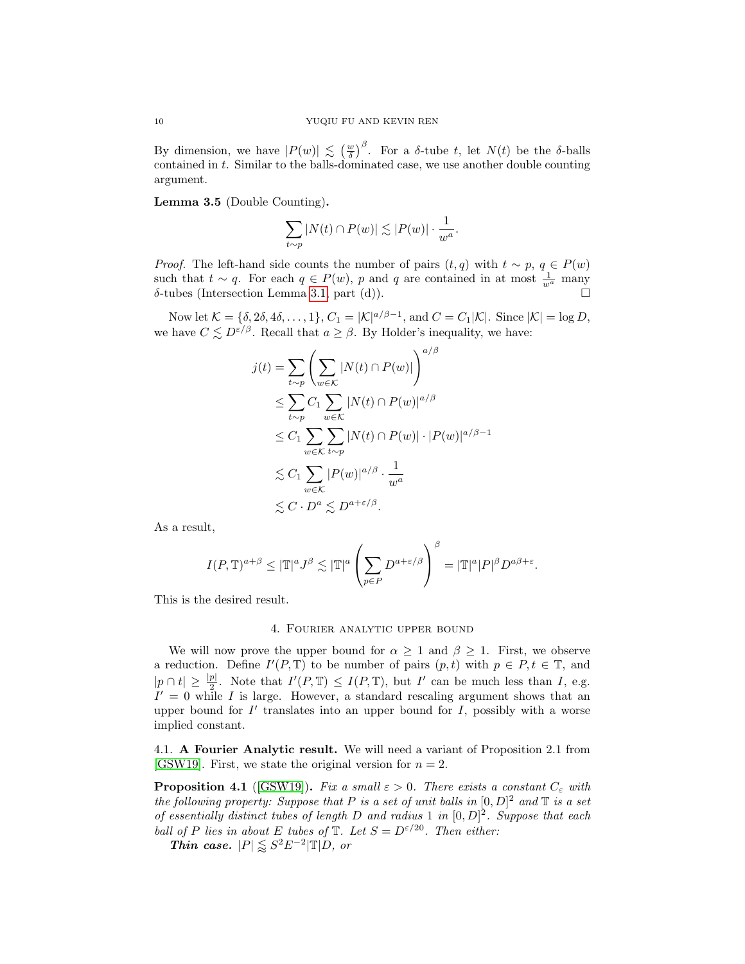By dimension, we have  $|P(w)| \lesssim \left(\frac{w}{\delta}\right)^{\beta}$ . For a  $\delta$ -tube t, let  $N(t)$  be the  $\delta$ -balls contained in t. Similar to the balls-dominated case, we use another double counting argument.

Lemma 3.5 (Double Counting).

$$
\sum_{t \sim p} |N(t) \cap P(w)| \lesssim |P(w)| \cdot \frac{1}{w^a}.
$$

*Proof.* The left-hand side counts the number of pairs  $(t, q)$  with  $t \sim p, q \in P(w)$ such that  $t \sim q$ . For each  $q \in P(w)$ , p and q are contained in at most  $\frac{1}{w^a}$  many δ-tubes (Intersection Lemma [3.1,](#page-6-1) part (d)).

Now let  $\mathcal{K} = \{\delta, 2\delta, 4\delta, \ldots, 1\}, C_1 = |\mathcal{K}|^{a/\beta - 1}$ , and  $C = C_1 |\mathcal{K}|$ . Since  $|\mathcal{K}| = \log D$ , we have  $C \leq D^{\varepsilon/\beta}$ . Recall that  $a \geq \beta$ . By Holder's inequality, we have:

$$
j(t) = \sum_{t \sim p} \left( \sum_{w \in K} |N(t) \cap P(w)| \right)^{a/\beta}
$$
  
\n
$$
\leq \sum_{t \sim p} C_1 \sum_{w \in K} |N(t) \cap P(w)|^{a/\beta}
$$
  
\n
$$
\leq C_1 \sum_{w \in K} \sum_{t \sim p} |N(t) \cap P(w)| \cdot |P(w)|^{a/\beta - 1}
$$
  
\n
$$
\lesssim C_1 \sum_{w \in K} |P(w)|^{a/\beta} \cdot \frac{1}{w^a}
$$
  
\n
$$
\lesssim C \cdot D^a \lesssim D^{a + \varepsilon/\beta}.
$$

As a result,

$$
I(P,\mathbb{T})^{a+\beta} \leq |\mathbb{T}|^a J^{\beta} \lesssim |\mathbb{T}|^a \left(\sum_{p \in P} D^{a+\varepsilon/\beta}\right)^{\beta} = |\mathbb{T}|^a |P|^{\beta} D^{a\beta+\varepsilon}.
$$

This is the desired result.

# 4. Fourier analytic upper bound

We will now prove the upper bound for  $\alpha \geq 1$  and  $\beta \geq 1$ . First, we observe a reduction. Define  $I'(P, \mathbb{T})$  to be number of pairs  $(p, t)$  with  $p \in P, t \in \mathbb{T}$ , and  $|p \cap t| \geq \frac{|p|}{2}$ . Note that  $I'(P, \mathbb{T}) \leq I(P, \mathbb{T})$ , but  $I'$  can be much less than  $I$ , e.g.  $I' = 0$  while I is large. However, a standard rescaling argument shows that an upper bound for  $I'$  translates into an upper bound for  $I$ , possibly with a worse implied constant.

4.1. A Fourier Analytic result. We will need a variant of Proposition 2.1 from [\[GSW19\]](#page-17-1). First, we state the original version for  $n = 2$ .

<span id="page-9-0"></span>**Proposition 4.1** ([\[GSW19\]](#page-17-1)). Fix a small  $\varepsilon > 0$ . There exists a constant  $C_{\varepsilon}$  with the following property: Suppose that P is a set of unit balls in  $[0, D]^2$  and T is a set of essentially distinct tubes of length D and radius 1 in  $[0, D]^2$ . Suppose that each ball of P lies in about E tubes of  $\mathbb{T}$ . Let  $S = D^{\epsilon/20}$ . Then either:

Thin case.  $|P| \leq S^2 E^{-2} |\mathbb{T}| D$ , or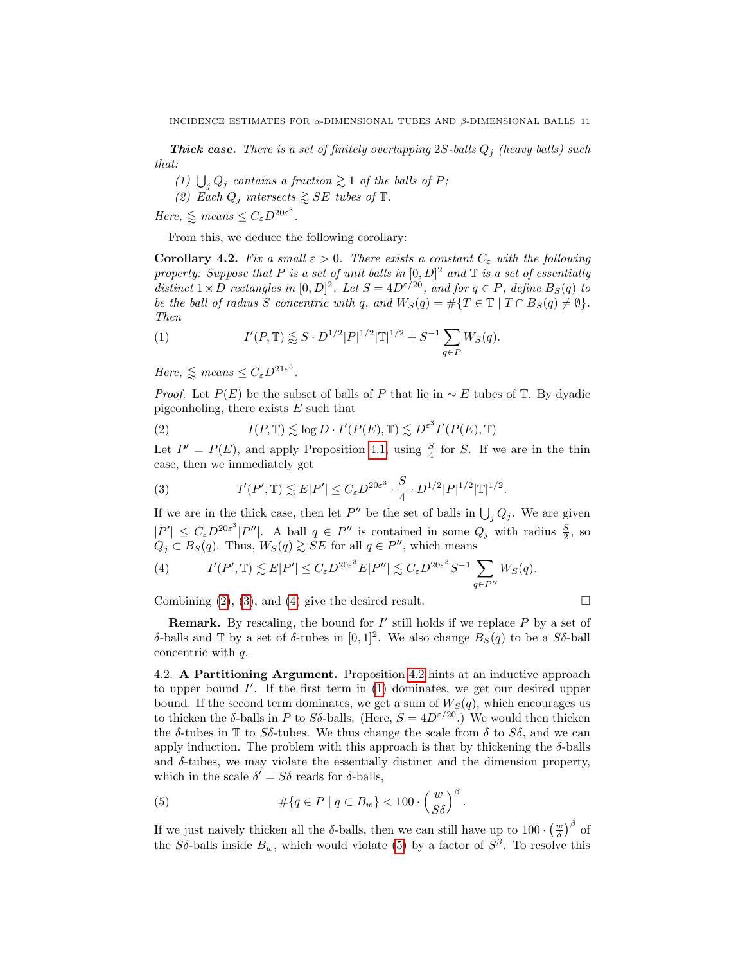**Thick case.** There is a set of finitely overlapping  $2S$ -balls  $Q_j$  (heavy balls) such that:

(1)  $\bigcup_j Q_j$  contains a fraction  $\gtrsim 1$  of the balls of P;

(2) Each  $Q_j$  intersects  $\geq S E$  tubes of  $\mathbb{T}$ .

Here,  $\leq$  means  $\leq C_{\varepsilon} D^{20\varepsilon^3}$ .

From this, we deduce the following corollary:

<span id="page-10-3"></span>**Corollary 4.2.** Fix a small  $\varepsilon > 0$ . There exists a constant  $C_{\varepsilon}$  with the following property: Suppose that P is a set of unit balls in  $[0, D]^2$  and T is a set of essentially distinct  $1 \times D$  rectangles in  $[0, D]^2$ . Let  $S = 4D^{\epsilon/20}$ , and for  $q \in P$ , define  $B_S(q)$  to be the ball of radius S concentric with q, and  $W_S(q) = #{T \in \mathbb{T} | T \cap B_S(q) \neq \emptyset}.$ Then

<span id="page-10-4"></span>(1) 
$$
I'(P, \mathbb{T}) \lessapprox S \cdot D^{1/2} |P|^{1/2} |\mathbb{T}|^{1/2} + S^{-1} \sum_{q \in P} W_S(q).
$$

Here,  $\leq$  means  $\leq C_{\varepsilon} D^{21\varepsilon^3}$ .

*Proof.* Let  $P(E)$  be the subset of balls of P that lie in  $\sim E$  tubes of T. By dyadic pigeonholing, there exists  $E$  such that

<span id="page-10-0"></span>(2) 
$$
I(P, \mathbb{T}) \lesssim \log D \cdot I'(P(E), \mathbb{T}) \lesssim D^{\varepsilon^3} I'(P(E), \mathbb{T})
$$

Let  $P' = P(E)$ , and apply Proposition [4.1,](#page-9-0) using  $\frac{S}{4}$  for S. If we are in the thin case, then we immediately get

<span id="page-10-1"></span>(3) 
$$
I'(P', \mathbb{T}) \lesssim E|P'| \leq C_{\varepsilon} D^{20\varepsilon^3} \cdot \frac{S}{4} \cdot D^{1/2} |P|^{1/2} |\mathbb{T}|^{1/2}.
$$

If we are in the thick case, then let  $P''$  be the set of balls in  $\bigcup_j Q_j$ . We are given  $|P'| \leq C_{\varepsilon} D^{20\varepsilon^3} |P''|$ . A ball  $q \in P''$  is contained in some  $Q_j$  with radius  $\frac{S}{2}$ , so  $Q_j \subset B_S(q)$ . Thus,  $W_S(q) \gtrsim SE$  for all  $q \in P''$ , which means

<span id="page-10-2"></span>(4) 
$$
I'(P', \mathbb{T}) \lesssim E|P'| \leq C_{\varepsilon} D^{20\varepsilon^3} E|P''| \lesssim C_{\varepsilon} D^{20\varepsilon^3} S^{-1} \sum_{q \in P''} W_S(q).
$$

Combining [\(2\)](#page-10-0), [\(3\)](#page-10-1), and [\(4\)](#page-10-2) give the desired result.

$$
\perp
$$

**Remark.** By rescaling, the bound for  $I'$  still holds if we replace  $P$  by a set of δ-balls and T by a set of δ-tubes in  $[0, 1]^2$ . We also change  $B_S(q)$  to be a Sδ-ball concentric with q.

<span id="page-10-6"></span>4.2. A Partitioning Argument. Proposition [4.2](#page-10-3) hints at an inductive approach to upper bound  $I'$ . If the first term in  $(1)$  dominates, we get our desired upper bound. If the second term dominates, we get a sum of  $W_S(q)$ , which encourages us to thicken the  $\delta$ -balls in P to S $\delta$ -balls. (Here,  $S = 4D^{\epsilon/20}$ .) We would then thicken the  $\delta$ -tubes in T to  $S\delta$ -tubes. We thus change the scale from  $\delta$  to  $S\delta$ , and we can apply induction. The problem with this approach is that by thickening the  $\delta$ -balls and  $\delta$ -tubes, we may violate the essentially distinct and the dimension property, which in the scale  $\delta' = S\delta$  reads for  $\delta$ -balls,

<span id="page-10-5"></span>(5) 
$$
\#\{q \in P \mid q \subset B_w\} < 100 \cdot \left(\frac{w}{S\delta}\right)^{\beta}.
$$

If we just naively thicken all the  $\delta$ -balls, then we can still have up to  $100 \cdot \left(\frac{w}{\delta}\right)^{\beta}$  of the Sδ-balls inside  $B_w$ , which would violate [\(5\)](#page-10-5) by a factor of  $S^{\beta}$ . To resolve this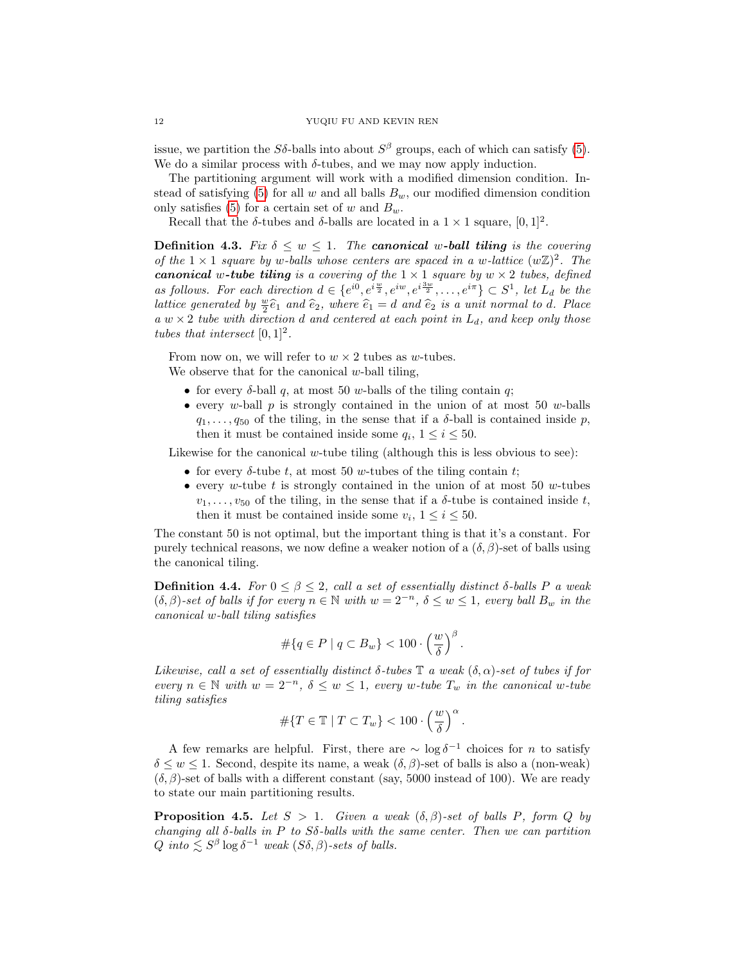issue, we partition the  $S\delta$ -balls into about  $S^{\beta}$  groups, each of which can satisfy [\(5\)](#page-10-5). We do a similar process with  $\delta$ -tubes, and we may now apply induction.

The partitioning argument will work with a modified dimension condition. In-stead of satisfying [\(5\)](#page-10-5) for all w and all balls  $B_w$ , our modified dimension condition only satisfies [\(5\)](#page-10-5) for a certain set of w and  $B_w$ .

Recall that the  $\delta$ -tubes and  $\delta$ -balls are located in a  $1 \times 1$  square,  $[0, 1]^2$ .

**Definition 4.3.** Fix  $\delta \leq w \leq 1$ . The **canonical w-ball tiling** is the covering of the  $1 \times 1$  square by w-balls whose centers are spaced in a w-lattice  $(w\mathbb{Z})^2$ . The **canonical w-tube tiling** is a covering of the  $1 \times 1$  square by  $w \times 2$  tubes, defined as follows. For each direction  $d \in \{e^{i0}, e^{i\frac{w}{2}}, e^{iw}, e^{i\frac{3w}{2}}, \ldots, e^{i\pi}\} \subset S^1$ , let  $L_d$  be the lattice generated by  $\frac{w}{2}\hat{e}_1$  and  $\hat{e}_2$ , where  $\hat{e}_1 = d$  and  $\hat{e}_2$  is a unit normal to d. Place a  $w \times 2$  tube with direction d and centered at each point in  $L_d$ , and keep only those tubes that intersect  $[0, 1]^2$ .

From now on, we will refer to  $w \times 2$  tubes as w-tubes. We observe that for the canonical  $w$ -ball tiling,

- for every  $\delta$ -ball q, at most 50 w-balls of the tiling contain q;
- every  $w$ -ball  $p$  is strongly contained in the union of at most 50  $w$ -balls  $q_1, \ldots, q_{50}$  of the tiling, in the sense that if a  $\delta$ -ball is contained inside p, then it must be contained inside some  $q_i$ ,  $1 \le i \le 50$ .

Likewise for the canonical w-tube tiling (although this is less obvious to see):

- for every  $\delta$ -tube t, at most 50 w-tubes of the tiling contain t;
- every w-tube t is strongly contained in the union of at most 50 w-tubes  $v_1, \ldots, v_{50}$  of the tiling, in the sense that if a  $\delta$ -tube is contained inside t, then it must be contained inside some  $v_i$ ,  $1 \le i \le 50$ .

The constant 50 is not optimal, but the important thing is that it's a constant. For purely technical reasons, we now define a weaker notion of a  $(\delta, \beta)$ -set of balls using the canonical tiling.

**Definition 4.4.** For  $0 \le \beta \le 2$ , call a set of essentially distinct  $\delta$ -balls P a weak  $(\delta, \beta)$ -set of balls if for every  $n \in \mathbb{N}$  with  $w = 2^{-n}$ ,  $\delta \leq w \leq 1$ , every ball  $B_w$  in the canonical w-ball tiling satisfies

$$
\#\{q \in P \mid q \subset B_w\} < 100 \cdot \left(\frac{w}{\delta}\right)^{\beta}.
$$

Likewise, call a set of essentially distinct  $\delta$ -tubes  $\mathbb T$  a weak  $(\delta, \alpha)$ -set of tubes if for every  $n \in \mathbb{N}$  with  $w = 2^{-n}$ ,  $\delta \leq w \leq 1$ , every w-tube  $T_w$  in the canonical w-tube tiling satisfies

$$
\#\{T \in \mathbb{T} \mid T \subset T_w\} < 100 \cdot \left(\frac{w}{\delta}\right)^{\alpha}.
$$

A few remarks are helpful. First, there are  $\sim \log \delta^{-1}$  choices for n to satisfy  $\delta \leq w \leq 1$ . Second, despite its name, a weak  $(\delta, \beta)$ -set of balls is also a (non-weak)  $(\delta, \beta)$ -set of balls with a different constant (say, 5000 instead of 100). We are ready to state our main partitioning results.

<span id="page-11-0"></span>**Proposition 4.5.** Let  $S > 1$ . Given a weak  $(\delta, \beta)$ -set of balls P, form Q by changing all  $\delta$ -balls in P to S $\delta$ -balls with the same center. Then we can partition Q into  $\lesssim S^{\beta} \log \delta^{-1}$  weak  $(S\delta, \beta)$ -sets of balls.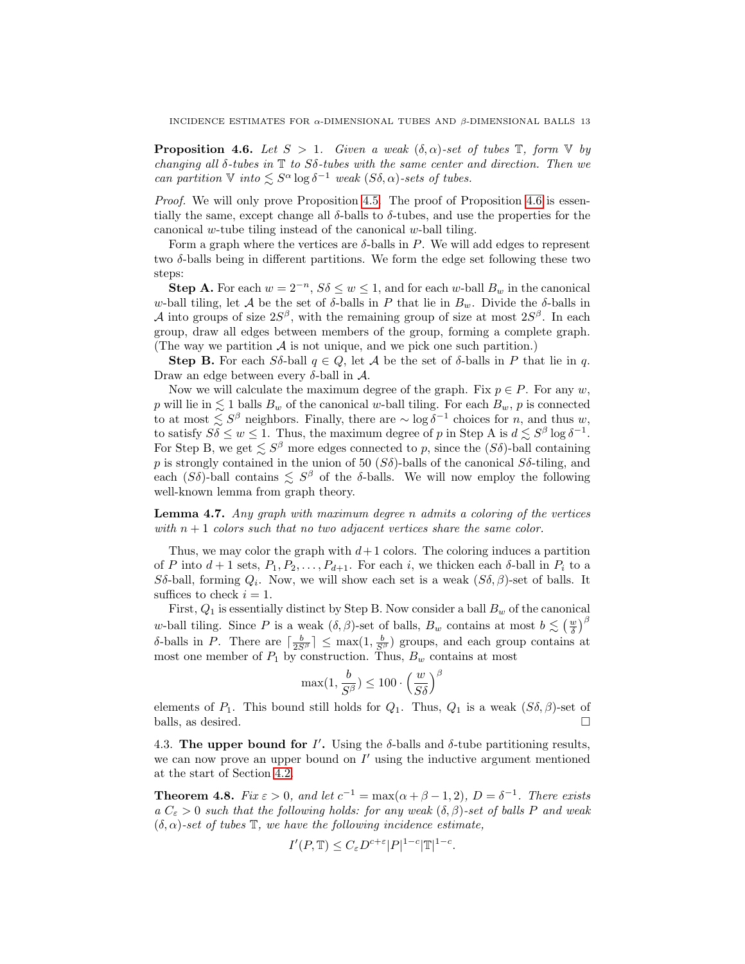<span id="page-12-0"></span>**Proposition 4.6.** Let  $S > 1$ . Given a weak  $(\delta, \alpha)$ -set of tubes  $\mathbb{T}$ , form  $\mathbb{V}$  by changing all  $\delta$ -tubes in  $\mathbb T$  to  $S\delta$ -tubes with the same center and direction. Then we can partition  $\mathbb{V}$  into  $\leq S^{\alpha} \log \delta^{-1}$  weak  $(S\delta, \alpha)$ -sets of tubes.

Proof. We will only prove Proposition [4.5.](#page-11-0) The proof of Proposition [4.6](#page-12-0) is essentially the same, except change all  $\delta$ -balls to  $\delta$ -tubes, and use the properties for the canonical w-tube tiling instead of the canonical w-ball tiling.

Form a graph where the vertices are  $\delta$ -balls in P. We will add edges to represent two  $\delta$ -balls being in different partitions. We form the edge set following these two steps:

**Step A.** For each  $w = 2^{-n}$ ,  $S\delta \leq w \leq 1$ , and for each w-ball  $B_w$  in the canonical w-ball tiling, let A be the set of  $\delta$ -balls in P that lie in  $B_w$ . Divide the  $\delta$ -balls in A into groups of size  $2S^{\beta}$ , with the remaining group of size at most  $2S^{\beta}$ . In each group, draw all edges between members of the group, forming a complete graph. (The way we partition  $A$  is not unique, and we pick one such partition.)

Step B. For each Sδ-ball  $q \in Q$ , let A be the set of δ-balls in P that lie in q. Draw an edge between every  $\delta$ -ball in  $\mathcal{A}$ .

Now we will calculate the maximum degree of the graph. Fix  $p \in P$ . For any w, p will lie in  $\leq 1$  balls  $B_w$  of the canonical w-ball tiling. For each  $B_w$ , p is connected to at most  $\lesssim S^{\beta}$  neighbors. Finally, there are  $\sim \log \delta^{-1}$  choices for n, and thus w, to satisfy  $S\delta \leq w \leq 1$ . Thus, the maximum degree of p in Step A is  $d \lesssim S^{\beta} \log \delta^{-1}$ . For Step B, we get  $\lesssim S^{\beta}$  more edges connected to p, since the  $(S\delta)$ -ball containing p is strongly contained in the union of 50  $(S\delta)$ -balls of the canonical  $S\delta$ -tiling, and each  $(S\delta)$ -ball contains  $\leq S^{\beta}$  of the  $\delta$ -balls. We will now employ the following well-known lemma from graph theory.

**Lemma 4.7.** Any graph with maximum degree n admits a coloring of the vertices with  $n + 1$  colors such that no two adjacent vertices share the same color.

Thus, we may color the graph with  $d+1$  colors. The coloring induces a partition of P into  $d+1$  sets,  $P_1, P_2, \ldots, P_{d+1}$ . For each i, we thicken each  $\delta$ -ball in  $P_i$  to a Sδ-ball, forming  $Q_i$ . Now, we will show each set is a weak  $(S\delta, \beta)$ -set of balls. It suffices to check  $i = 1$ .

First,  $Q_1$  is essentially distinct by Step B. Now consider a ball  $B_w$  of the canonical w-ball tiling. Since P is a weak  $(\delta, \beta)$ -set of balls,  $B_w$  contains at most  $b \lesssim (\frac{w}{\delta})^{\beta}$ δ-balls in P. There are  $\lceil \frac{b}{2S^{\beta}} \rceil \leq \max(1, \frac{b}{S^{\beta}})$  groups, and each group contains at most one member of  $P_1$  by construction. Thus,  $B_w$  contains at most

$$
\max(1, \frac{b}{S^{\beta}}) \le 100 \cdot \left(\frac{w}{S\delta}\right)^{\beta}
$$

elements of  $P_1$ . This bound still holds for  $Q_1$ . Thus,  $Q_1$  is a weak  $(S\delta, \beta)$ -set of balls, as desired.  $\square$ 

4.3. The upper bound for  $I'$ . Using the  $\delta$ -balls and  $\delta$ -tube partitioning results, we can now prove an upper bound on  $I'$  using the inductive argument mentioned at the start of Section [4.2.](#page-10-6)

<span id="page-12-1"></span>**Theorem 4.8.** Fix  $\varepsilon > 0$ , and let  $c^{-1} = \max(\alpha + \beta - 1, 2)$ ,  $D = \delta^{-1}$ . There exists  $a C_{\varepsilon} > 0$  such that the following holds: for any weak  $(\delta, \beta)$ -set of balls P and weak  $(\delta, \alpha)$ -set of tubes  $\mathbb{T}$ , we have the following incidence estimate,

$$
I'(P,\mathbb{T}) \le C_{\varepsilon} D^{c+\varepsilon} |P|^{1-c} |\mathbb{T}|^{1-c}.
$$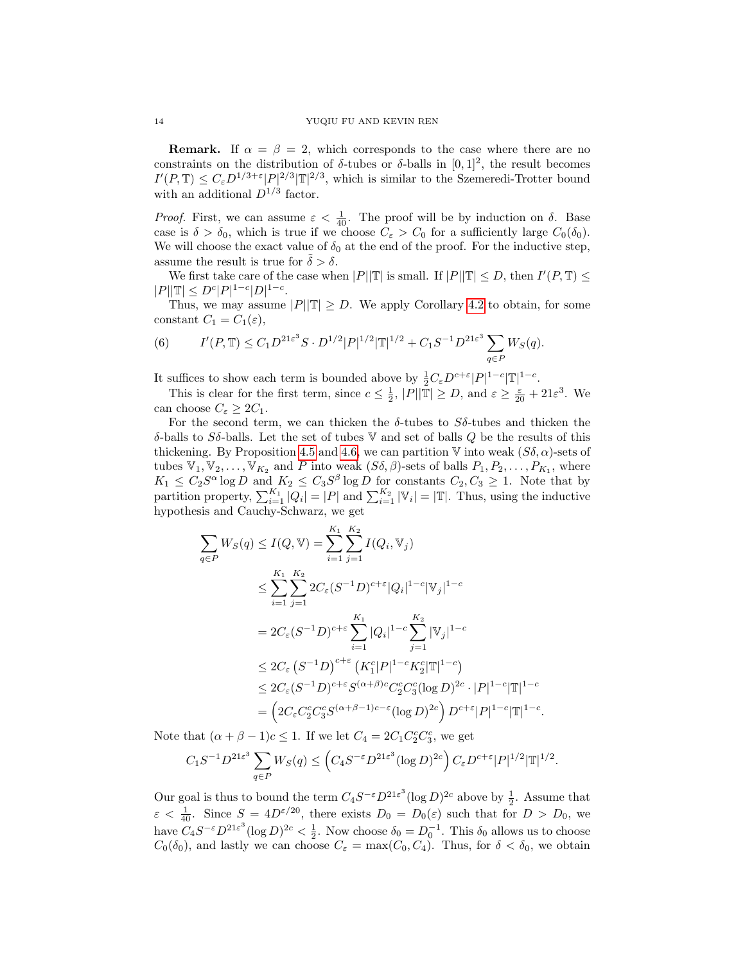**Remark.** If  $\alpha = \beta = 2$ , which corresponds to the case where there are no constraints on the distribution of  $\delta$ -tubes or  $\delta$ -balls in [0, 1]<sup>2</sup>, the result becomes  $I'(P,\mathbb{T}) \leq C_{\varepsilon} D^{1/3+\varepsilon} |P|^{2/3} |\mathbb{T}|^{2/3}$ , which is similar to the Szemeredi-Trotter bound with an additional  $D^{1/3}$  factor.

*Proof.* First, we can assume  $\varepsilon < \frac{1}{40}$ . The proof will be by induction on  $\delta$ . Base case is  $\delta > \delta_0$ , which is true if we choose  $C_{\varepsilon} > C_0$  for a sufficiently large  $C_0(\delta_0)$ . We will choose the exact value of  $\delta_0$  at the end of the proof. For the inductive step, assume the result is true for  $\delta > \delta$ .

We first take care of the case when  $|P||\mathbb{T}|$  is small. If  $|P||\mathbb{T}| \le D$ , then  $I'(P, \mathbb{T}) \le$  $|P||\mathbb{T}| \leq D^{c}|P|^{1-c}|D|^{1-c}.$ 

Thus, we may assume  $|P||\mathbb{T}| \geq D$ . We apply Corollary [4.2](#page-10-3) to obtain, for some constant  $C_1 = C_1(\varepsilon)$ ,

<span id="page-13-0"></span>(6) 
$$
I'(P,\mathbb{T}) \leq C_1 D^{21\varepsilon^3} S \cdot D^{1/2} |P|^{1/2} |\mathbb{T}|^{1/2} + C_1 S^{-1} D^{21\varepsilon^3} \sum_{q \in P} W_S(q).
$$

It suffices to show each term is bounded above by  $\frac{1}{2}C_{\varepsilon}D^{c+\varepsilon}|P|^{1-c}|\mathbb{T}|^{1-c}$ .

This is clear for the first term, since  $c \leq \frac{1}{2}$ ,  $|P||\mathbb{T}| \geq D$ , and  $\varepsilon \geq \frac{\varepsilon}{20} + 21\varepsilon^3$ . We can choose  $C_{\varepsilon} \geq 2C_1$ .

For the second term, we can thicken the  $\delta$ -tubes to  $S\delta$ -tubes and thicken the δ-balls to Sδ-balls. Let the set of tubes V and set of balls Q be the results of this thickening. By Proposition [4.5](#page-11-0) and [4.6,](#page-12-0) we can partition  $\mathbb{V}$  into weak  $(S\delta, \alpha)$ -sets of tubes  $\mathbb{V}_1, \mathbb{V}_2, \ldots, \mathbb{V}_{K_2}$  and P into weak  $(S\delta, \beta)$ -sets of balls  $P_1, P_2, \ldots, P_{K_1}$ , where  $K_1 \leq C_2 S^{\alpha} \log D$  and  $K_2 \leq C_3 S^{\beta} \log D$  for constants  $C_2, C_3 \geq 1$ . Note that by partition property,  $\sum_{i=1}^{K_1} |Q_i| = |P|$  and  $\sum_{i=1}^{K_2} |\mathbb{V}_i| = |\mathbb{T}|$ . Thus, using the inductive hypothesis and Cauchy-Schwarz, we get

$$
\sum_{q \in P} W_S(q) \le I(Q, \mathbb{V}) = \sum_{i=1}^{K_1} \sum_{j=1}^{K_2} I(Q_i, \mathbb{V}_j)
$$
\n
$$
\le \sum_{i=1}^{K_1} \sum_{j=1}^{K_2} 2C_{\varepsilon} (S^{-1}D)^{c+\varepsilon} |Q_i|^{1-c} |\mathbb{V}_j|^{1-c}
$$
\n
$$
= 2C_{\varepsilon} (S^{-1}D)^{c+\varepsilon} \sum_{i=1}^{K_1} |Q_i|^{1-c} \sum_{j=1}^{K_2} |\mathbb{V}_j|^{1-c}
$$
\n
$$
\le 2C_{\varepsilon} (S^{-1}D)^{c+\varepsilon} (K_1^c |P|^{1-c} K_2^c |\mathbb{T}|^{1-c})
$$
\n
$$
\le 2C_{\varepsilon} (S^{-1}D)^{c+\varepsilon} S^{(\alpha+\beta)c} C_2^c C_3^c (\log D)^{2c} \cdot |P|^{1-c} |\mathbb{T}|^{1-c}
$$
\n
$$
= \left( 2C_{\varepsilon} C_2^c C_3^c S^{(\alpha+\beta-1)c-\varepsilon} (\log D)^{2c} \right) D^{c+\varepsilon} |P|^{1-c} |\mathbb{T}|^{1-c}
$$

Note that  $(\alpha + \beta - 1)c \leq 1$ . If we let  $C_4 = 2C_1C_2^cC_3^c$ , we get

$$
C_1S^{-1}D^{21\varepsilon^3}\sum_{q\in P}W_S(q) \leq \left(C_4S^{-\varepsilon}D^{21\varepsilon^3}(\log D)^{2c}\right)C_{\varepsilon}D^{c+\varepsilon}|P|^{1/2}|\mathbb{T}|^{1/2}.
$$

.

Our goal is thus to bound the term  $C_4S^{-\varepsilon}D^{21\varepsilon^3}(\log D)^{2c}$  above by  $\frac{1}{2}$ . Assume that  $\varepsilon < \frac{1}{40}$ . Since  $S = 4D^{\varepsilon/20}$ , there exists  $D_0 = D_0(\varepsilon)$  such that for  $D > D_0$ , we have  $C_4S^{-\varepsilon}D^{21\varepsilon^3}(\log D)^{2c} < \frac{1}{2}$ . Now choose  $\delta_0 = D_0^{-1}$ . This  $\delta_0$  allows us to choose  $C_0(\delta_0)$ , and lastly we can choose  $C_\varepsilon = \max(C_0, C_4)$ . Thus, for  $\delta < \delta_0$ , we obtain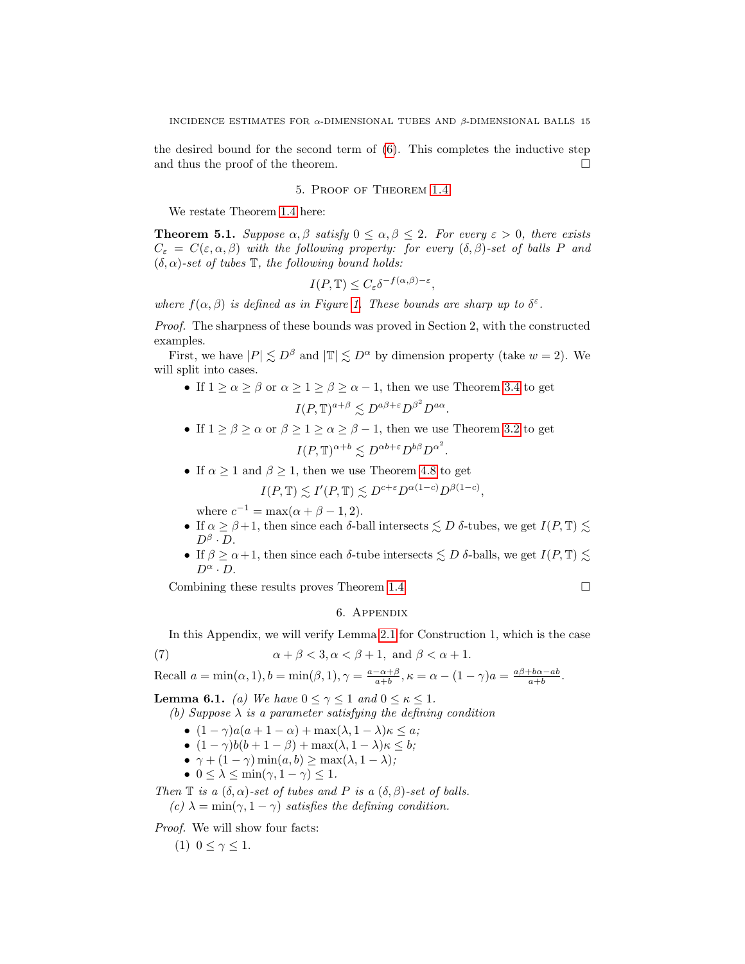the desired bound for the second term of [\(6\)](#page-13-0). This completes the inductive step and thus the proof of the theorem.  $\Box$ 

# 5. Proof of Theorem [1.4](#page-1-1)

We restate Theorem [1.4](#page-1-1) here:

**Theorem 5.1.** Suppose  $\alpha, \beta$  satisfy  $0 \leq \alpha, \beta \leq 2$ . For every  $\varepsilon > 0$ , there exists  $C_{\varepsilon} = C(\varepsilon, \alpha, \beta)$  with the following property: for every  $(\delta, \beta)$ -set of balls P and  $(\delta, \alpha)$ -set of tubes  $\mathbb T$ , the following bound holds:

$$
I(P, \mathbb{T}) \le C_{\varepsilon} \delta^{-f(\alpha, \beta) - \varepsilon}
$$

,

where  $f(\alpha, \beta)$  is defined as in Figure [1.](#page-1-0) These bounds are sharp up to  $\delta^{\epsilon}$ .

Proof. The sharpness of these bounds was proved in Section 2, with the constructed examples.

First, we have  $|P| \leq D^{\beta}$  and  $|\mathbb{T}| \leq D^{\alpha}$  by dimension property (take  $w = 2$ ). We will split into cases.

- If  $1 \ge \alpha \ge \beta$  or  $\alpha \ge 1 \ge \beta \ge \alpha 1$ , then we use Theorem [3.4](#page-8-0) to get  $I(P, \mathbb{T})^{a+\beta} \lesssim D^{a\beta+\varepsilon} D^{\beta^2} D^{a\alpha}.$
- If  $1 \ge \beta \ge \alpha$  or  $\beta \ge 1 \ge \alpha \ge \beta 1$ , then we use Theorem [3.2](#page-7-0) to get  $I(P, \mathbb{T})^{\alpha+b} \lesssim D^{\alpha b+\varepsilon} D^{b\beta} D^{\alpha^2}.$
- If  $\alpha \geq 1$  and  $\beta \geq 1$ , then we use Theorem [4.8](#page-12-1) to get

$$
I(P, \mathbb{T}) \lesssim I'(P, \mathbb{T}) \lesssim D^{c+\varepsilon} D^{\alpha(1-c)} D^{\beta(1-c)},
$$

where  $c^{-1} = \max(\alpha + \beta - 1, 2)$ .

- If  $\alpha \geq \beta + 1$ , then since each  $\delta$ -ball intersects  $\leq D$   $\delta$ -tubes, we get  $I(P, \mathbb{T}) \leq$  $D^{\beta} \cdot D$ .
- If  $\beta \ge \alpha + 1$ , then since each  $\delta$ -tube intersects  $\le D$   $\delta$ -balls, we get  $I(P, \mathbb{T}) \le \epsilon$  $D^{\alpha} \cdot D$ .

Combining these results proves Theorem [1.4.](#page-1-1)  $\Box$ 

### <span id="page-14-0"></span>6. Appendix

In this Appendix, we will verify Lemma [2.1](#page-3-0) for Construction 1, which is the case

(7) 
$$
\alpha + \beta < 3, \alpha < \beta + 1, \text{ and } \beta < \alpha + 1.
$$

Recall 
$$
a = \min(\alpha, 1), b = \min(\beta, 1), \gamma = \frac{a - \alpha + \beta}{a + b}, \kappa = \alpha - (1 - \gamma)a = \frac{a\beta + b\alpha - ab}{a + b}.
$$

**Lemma 6.1.** (a) We have  $0 \leq \gamma \leq 1$  and  $0 \leq \kappa \leq 1$ .

(b) Suppose  $\lambda$  is a parameter satisfying the defining condition

- $(1 \gamma)a(a + 1 \alpha) + \max(\lambda, 1 \lambda)\kappa \leq a;$
- $(1 \gamma)b(b + 1 \beta) + \max(\lambda, 1 \lambda)\kappa \leq b;$
- $\gamma + (1 \gamma) \min(a, b) \ge \max(\lambda, 1 \lambda);$
- $0 \leq \lambda \leq \min(\gamma, 1 \gamma) \leq 1$ .

Then  $\mathbb T$  is a  $(\delta, \alpha)$ -set of tubes and P is a  $(\delta, \beta)$ -set of balls.

(c)  $\lambda = \min(\gamma, 1 - \gamma)$  satisfies the defining condition.

Proof. We will show four facts:

(1)  $0 \leq \gamma \leq 1$ .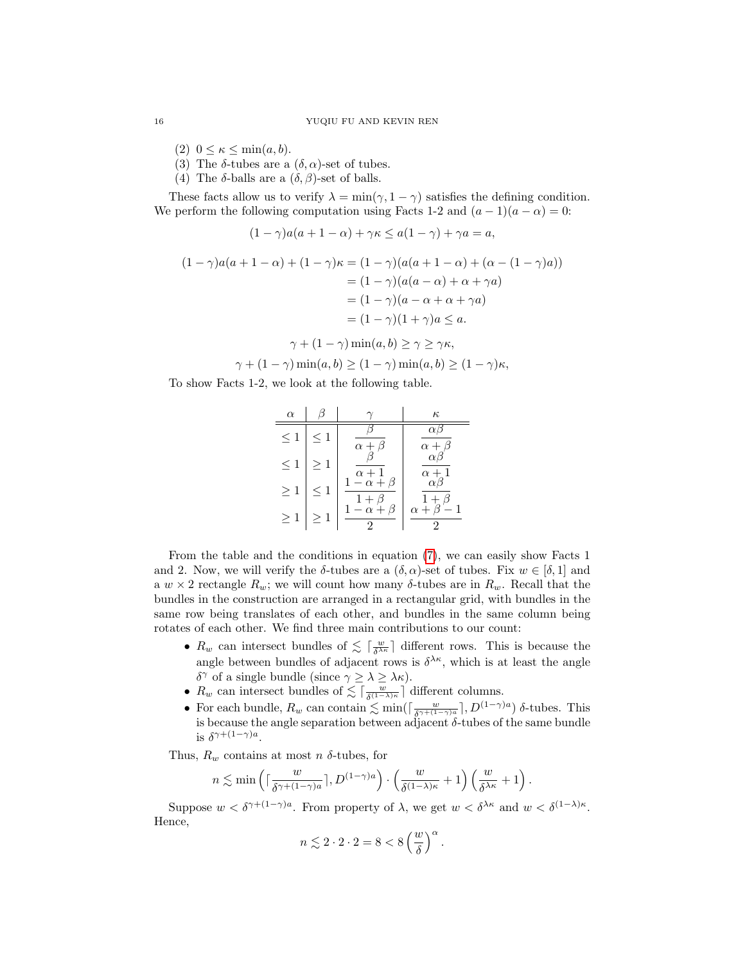- (2)  $0 \leq \kappa \leq \min(a, b)$ .
- (3) The  $\delta$ -tubes are a  $(\delta, \alpha)$ -set of tubes.
- (4) The  $\delta$ -balls are a  $(\delta, \beta)$ -set of balls.

These facts allow us to verify  $\lambda = \min(\gamma, 1 - \gamma)$  satisfies the defining condition. We perform the following computation using Facts 1-2 and  $(a-1)(a-\alpha) = 0$ :

$$
(1 - \gamma)a(a + 1 - \alpha) + \gamma\kappa \le a(1 - \gamma) + \gamma a = a,
$$
  

$$
(1 - \gamma)a(a + 1 - \alpha) + (1 - \gamma)\kappa = (1 - \gamma)(a(a + 1 - \alpha) + (\alpha - (1 - \gamma)a))
$$
  

$$
= (1 - \gamma)(a(a - \alpha) + \alpha + \gamma a)
$$
  

$$
= (1 - \gamma)(a - \alpha + \alpha + \gamma a)
$$
  

$$
= (1 - \gamma)(1 + \gamma)a \le a.
$$

$$
\gamma + (1 - \gamma) \min(a, b) \ge \gamma \ge \gamma \kappa,
$$

$$
\gamma + (1 - \gamma) \min(a, b) \ge (1 - \gamma) \min(a, b) \ge (1 - \gamma)\kappa,
$$

To show Facts 1-2, we look at the following table.

| $\alpha$ |          |                            | $\kappa$                   |
|----------|----------|----------------------------|----------------------------|
| $\leq 1$ | $\leq 1$ | $\alpha +$                 | $\alpha$ Ľ<br>$\alpha +$   |
| $\leq 1$ | $\geq 1$ | $\alpha + 1$               | $\alpha$ b<br>$\alpha + 1$ |
| $\geq 1$ | $\leq 1$ | $1-\alpha+\beta$<br>$^{+}$ | $\alpha\beta$<br>$1+$      |
| $\geq 1$ | $\geq 1$ | β<br>$-\alpha +$           | $\alpha + \beta -$<br>1    |

From the table and the conditions in equation [\(7\)](#page-14-0), we can easily show Facts 1 and 2. Now, we will verify the  $\delta$ -tubes are a  $(\delta, \alpha)$ -set of tubes. Fix  $w \in [\delta, 1]$  and a  $w \times 2$  rectangle  $R_w$ ; we will count how many  $\delta$ -tubes are in  $R_w$ . Recall that the bundles in the construction are arranged in a rectangular grid, with bundles in the same row being translates of each other, and bundles in the same column being rotates of each other. We find three main contributions to our count:

- $R_w$  can intersect bundles of  $\lesssim \lceil \frac{w}{\delta^{\lambda\kappa}} \rceil$  different rows. This is because the angle between bundles of adjacent rows is  $\delta^{\lambda\kappa}$ , which is at least the angle δ<sup> $γ$ </sup> of a single bundle (since  $γ ≥ λ ≥ λκ$ ).
- $R_w$  can intersect bundles of  $\lesssim \lceil \frac{w}{\delta^{(1-\lambda)\kappa}} \rceil$  different columns.
- For each bundle,  $R_w$  can contain  $\lesssim \min(\lceil \frac{w}{\delta^{\gamma+(1-\gamma)a}} \rceil, D^{(1-\gamma)a})$  δ-tubes. This is because the angle separation between adjacent  $\delta$ -tubes of the same bundle is  $\delta^{\gamma+(1-\gamma)a}$ .

Thus,  $R_w$  contains at most n  $\delta$ -tubes, for

$$
n \lesssim \min\left(\lceil \frac{w}{\delta^{\gamma + (1-\gamma)a}}\rceil, D^{(1-\gamma)a}\right) \cdot \left(\frac{w}{\delta^{(1-\lambda)\kappa}}+1\right) \left(\frac{w}{\delta^{\lambda\kappa}}+1\right).
$$

Suppose  $w < \delta^{\gamma + (1-\gamma)a}$ . From property of  $\lambda$ , we get  $w < \delta^{\lambda \kappa}$  and  $w < \delta^{(1-\lambda)\kappa}$ . Hence,

$$
n\lesssim 2\cdot 2\cdot 2=8<8\left(\frac{w}{\delta}\right)^{\alpha}.
$$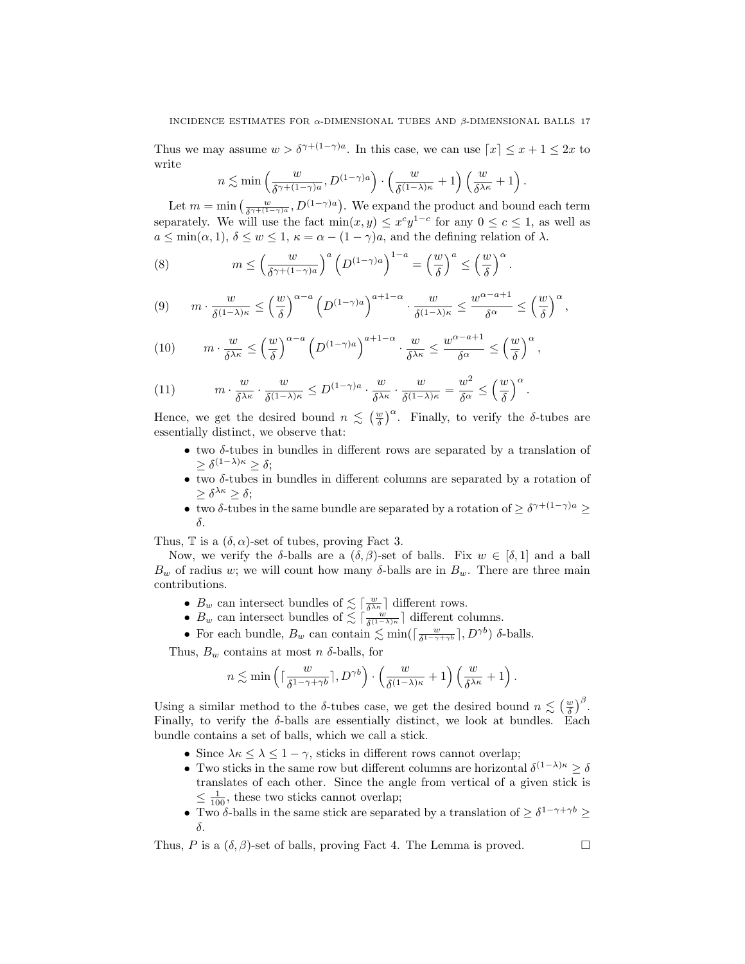Thus we may assume  $w > \delta^{\gamma + (1-\gamma)a}$ . In this case, we can use  $\lceil x \rceil \leq x+1 \leq 2x$  to write

$$
n \lesssim \min \left( \frac{w}{\delta^{\gamma + (1 - \gamma)a}}, D^{(1 - \gamma)a} \right) \cdot \left( \frac{w}{\delta^{(1 - \lambda)\kappa}} + 1 \right) \left( \frac{w}{\delta^{\lambda \kappa}} + 1 \right).
$$

Let  $m = \min\left(\frac{w}{\delta^{\gamma + (1-\gamma)a}}, D^{(1-\gamma)a}\right)$ . We expand the product and bound each term separately. We will use the fact  $\min(x, y) \leq x^c y^{1-c}$  for any  $0 \leq c \leq 1$ , as well as  $a \le \min(\alpha, 1), \delta \le w \le 1, \kappa = \alpha - (1 - \gamma)a$ , and the defining relation of  $\lambda$ .

.

(8) 
$$
m \leq \left(\frac{w}{\delta^{\gamma + (1-\gamma)a}}\right)^a \left(D^{(1-\gamma)a}\right)^{1-a} = \left(\frac{w}{\delta}\right)^a \leq \left(\frac{w}{\delta}\right)^{\alpha}
$$

$$
(9) \qquad m \cdot \frac{w}{\delta^{(1-\lambda)\kappa}} \leq \left(\frac{w}{\delta}\right)^{\alpha-a} \left(D^{(1-\gamma)a}\right)^{a+1-\alpha} \cdot \frac{w}{\delta^{(1-\lambda)\kappa}} \leq \frac{w^{\alpha-a+1}}{\delta^{\alpha}} \leq \left(\frac{w}{\delta}\right)^{\alpha},
$$

$$
(10) \qquad m \cdot \frac{w}{\delta^{\lambda \kappa}} \le \left(\frac{w}{\delta}\right)^{\alpha - a} \left(D^{(1-\gamma)a}\right)^{a+1-\alpha} \cdot \frac{w}{\delta^{\lambda \kappa}} \le \frac{w^{\alpha - a + 1}}{\delta^{\alpha}} \le \left(\frac{w}{\delta}\right)^{\alpha},
$$

(11) 
$$
m \cdot \frac{w}{\delta^{\lambda \kappa}} \cdot \frac{w}{\delta^{(1-\lambda)\kappa}} \le D^{(1-\gamma)a} \cdot \frac{w}{\delta^{\lambda \kappa}} \cdot \frac{w}{\delta^{(1-\lambda)\kappa}} = \frac{w^2}{\delta^{\alpha}} \le \left(\frac{w}{\delta}\right)^{\alpha}.
$$

Hence, we get the desired bound  $n \leq (\frac{w}{\delta})^{\alpha}$ . Finally, to verify the  $\delta$ -tubes are essentially distinct, we observe that:

- $\bullet$  two  $\delta$ -tubes in bundles in different rows are separated by a translation of  $\geq \delta^{(1-\lambda)\kappa} \geq \delta;$
- $\bullet$  two  $\delta$ -tubes in bundles in different columns are separated by a rotation of  $\geq \delta^{\lambda\kappa}\geq \delta;$
- two δ-tubes in the same bundle are separated by a rotation of  $\geq \delta^{\gamma+(1-\gamma)a} \geq$ δ.

Thus,  $\mathbb T$  is a  $(\delta, \alpha)$ -set of tubes, proving Fact 3.

Now, we verify the δ-balls are a  $(δ, β)$ -set of balls. Fix  $w ∈ [δ, 1]$  and a ball  $B_w$  of radius w; we will count how many  $\delta$ -balls are in  $B_w$ . There are three main contributions.

- $B_w$  can intersect bundles of  $\lesssim \left[\frac{w}{\delta^{\lambda\kappa}}\right]$  different rows.
- $B_w$  can intersect bundles of  $\lesssim \lceil \frac{w}{\delta^{(1-\lambda)\kappa}} \rceil$  different columns.
- For each bundle,  $B_w$  can contain  $\lesssim \min(\lceil \frac{w}{\delta^{1-\gamma+\gamma b}} \rceil, D^{\gamma b})$  δ-balls.

Thus,  $B_w$  contains at most n  $\delta$ -balls, for

$$
n \lesssim \min \left( \lceil \frac{w}{\delta^{1-\gamma+\gamma b}} \rceil, D^{\gamma b} \right) \cdot \left( \frac{w}{\delta^{(1-\lambda)\kappa}} + 1 \right) \left( \frac{w}{\delta^{\lambda \kappa}} + 1 \right).
$$

Using a similar method to the  $\delta$ -tubes case, we get the desired bound  $n \lesssim \left(\frac{w}{\delta}\right)^{\beta}$ . Finally, to verify the  $\delta$ -balls are essentially distinct, we look at bundles. Each bundle contains a set of balls, which we call a stick.

- Since  $\lambda \kappa \leq \lambda \leq 1 \gamma$ , sticks in different rows cannot overlap;
- Two sticks in the same row but different columns are horizontal  $\delta^{(1-\lambda)\kappa} \geq \delta$ translates of each other. Since the angle from vertical of a given stick is  $\leq \frac{1}{100}$ , these two sticks cannot overlap;
- Two  $\delta$ -balls in the same stick are separated by a translation of  $\geq \delta^{1-\gamma+\gamma b} \geq$ δ.

Thus, P is a  $(\delta, \beta)$ -set of balls, proving Fact 4. The Lemma is proved.